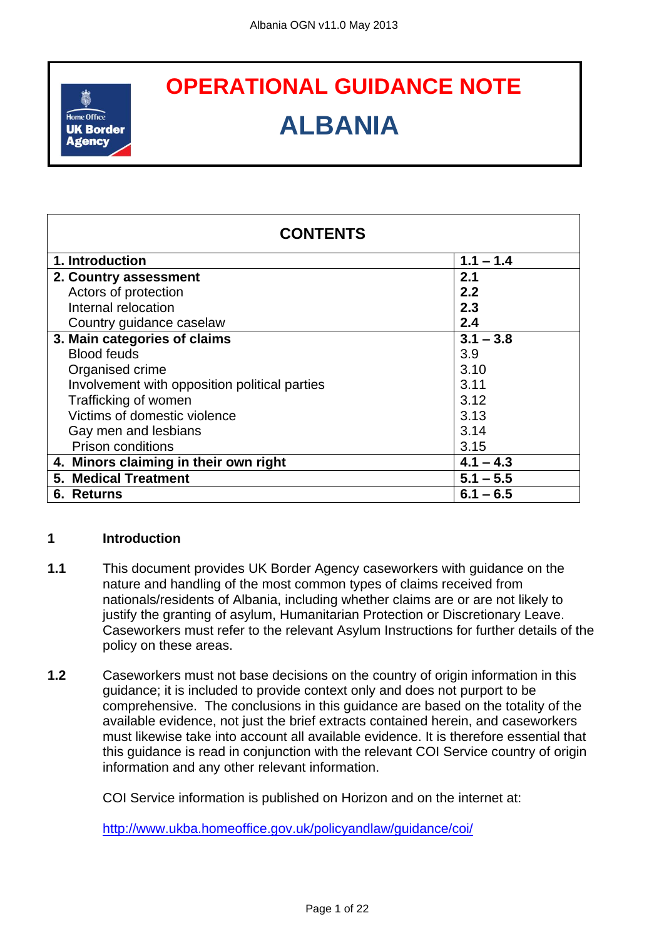

# **OPERATIONAL GUIDANCE NOTE OPERATIONAL GUIDANCE NOTEALBANIA**

| <b>CONTENTS</b>                               |             |
|-----------------------------------------------|-------------|
| 1. Introduction                               | $1.1 - 1.4$ |
| 2. Country assessment                         | 2.1         |
| Actors of protection                          | 2.2         |
| Internal relocation                           | 2.3         |
| Country guidance caselaw                      | 2.4         |
| 3. Main categories of claims                  | $3.1 - 3.8$ |
| <b>Blood feuds</b>                            | 3.9         |
| Organised crime                               | 3.10        |
| Involvement with opposition political parties | 3.11        |
| Trafficking of women                          | 3.12        |
| Victims of domestic violence                  | 3.13        |
| Gay men and lesbians                          | 3.14        |
| <b>Prison conditions</b>                      | 3.15        |
| 4. Minors claiming in their own right         | $4.1 - 4.3$ |
| <b>5. Medical Treatment</b>                   | $5.1 - 5.5$ |
| 6. Returns                                    | $6.1 - 6.5$ |

# **1 Introduction**

- **1.1** This document provides UK Border Agency caseworkers with guidance on the nature and handling of the most common types of claims received from nationals/residents of Albania, including whether claims are or are not likely to justify the granting of asylum, Humanitarian Protection or Discretionary Leave. Caseworkers must refer to the relevant Asylum Instructions for further details of the policy on these areas.
- **1.2** Caseworkers must not base decisions on the country of origin information in this guidance; it is included to provide context only and does not purport to be comprehensive. The conclusions in this guidance are based on the totality of the available evidence, not just the brief extracts contained herein, and caseworkers must likewise take into account all available evidence. It is therefore essential that this guidance is read in conjunction with the relevant COI Service country of origin information and any other relevant information.

COI Service information is published on Horizon and on the internet at:

<http://www.ukba.homeoffice.gov.uk/policyandlaw/guidance/coi/>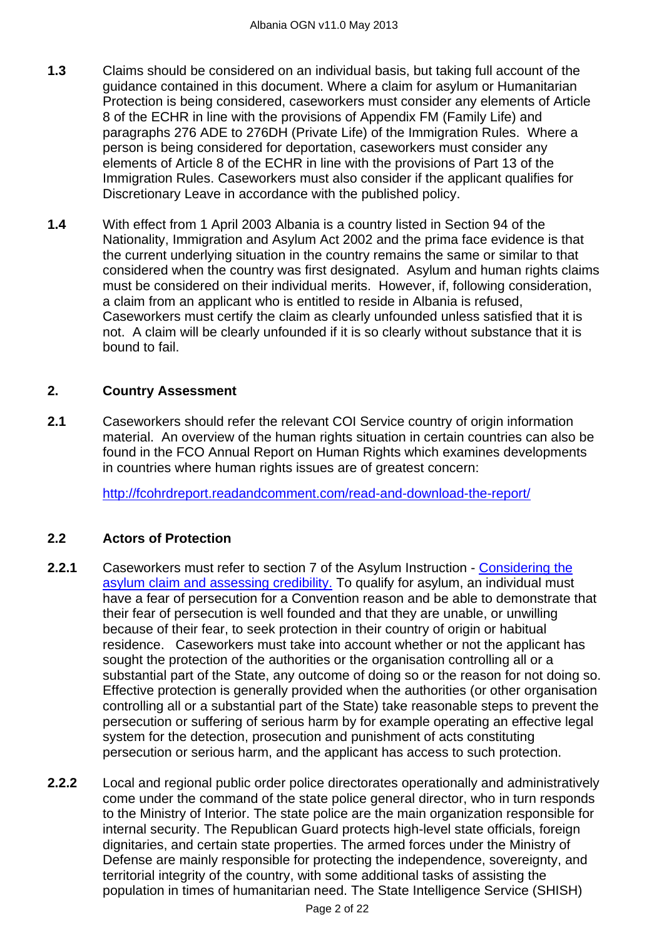- **1.3** Claims should be considered on an individual basis, but taking full account of the guidance contained in this document. Where a claim for asylum or Humanitarian Protection is being considered, caseworkers must consider any elements of Article 8 of the ECHR in line with the provisions of Appendix FM (Family Life) and paragraphs 276 ADE to 276DH (Private Life) of the Immigration Rules. Where a person is being considered for deportation, caseworkers must consider any elements of Article 8 of the ECHR in line with the provisions of Part 13 of the Immigration Rules. Caseworkers must also consider if the applicant qualifies for Discretionary Leave in accordance with the published policy.
- **1.4** With effect from 1 April 2003 Albania is a country listed in Section 94 of the Nationality, Immigration and Asylum Act 2002 and the prima face evidence is that the current underlying situation in the country remains the same or similar to that considered when the country was first designated. Asylum and human rights claims must be considered on their individual merits. However, if, following consideration, a claim from an applicant who is entitled to reside in Albania is refused, Caseworkers must certify the claim as clearly unfounded unless satisfied that it is not. A claim will be clearly unfounded if it is so clearly without substance that it is bound to fail.

# <span id="page-1-0"></span>**2. Country Assessment**

**2.1** Caseworkers should refer the relevant COI Service country of origin information material. An overview of the human rights situation in certain countries can also be found in the FCO Annual Report on Human Rights which examines developments in countries where human rights issues are of greatest concern:

<span id="page-1-1"></span><http://fcohrdreport.readandcomment.com/read-and-download-the-report/>

# **2.2 Actors of Protection**

- **2.2.1** Caseworkers must refer to section 7 of the Asylum Instruction [Considering the](http://www.ukba.homeoffice.gov.uk/sitecontent/documents/policyandlaw/asylumprocessguidance/consideringanddecidingtheclaim/guidance/considering-protection-.pdf?view=Binary)  [asylum claim and assessing credibility.](http://www.ukba.homeoffice.gov.uk/sitecontent/documents/policyandlaw/asylumprocessguidance/consideringanddecidingtheclaim/guidance/considering-protection-.pdf?view=Binary) To qualify for asylum, an individual must have a fear of persecution for a Convention reason and be able to demonstrate that their fear of persecution is well founded and that they are unable, or unwilling because of their fear, to seek protection in their country of origin or habitual residence. Caseworkers must take into account whether or not the applicant has sought the protection of the authorities or the organisation controlling all or a substantial part of the State, any outcome of doing so or the reason for not doing so. Effective protection is generally provided when the authorities (or other organisation controlling all or a substantial part of the State) take reasonable steps to prevent the persecution or suffering of serious harm by for example operating an effective legal system for the detection, prosecution and punishment of acts constituting persecution or serious harm, and the applicant has access to such protection.
- **2.2.2** Local and regional public order police directorates operationally and administratively come under the command of the state police general director, who in turn responds to the Ministry of Interior. The state police are the main organization responsible for internal security. The Republican Guard protects high-level state officials, foreign dignitaries, and certain state properties. The armed forces under the Ministry of Defense are mainly responsible for protecting the independence, sovereignty, and territorial integrity of the country, with some additional tasks of assisting the population in times of humanitarian need. The State Intelligence Service (SHISH)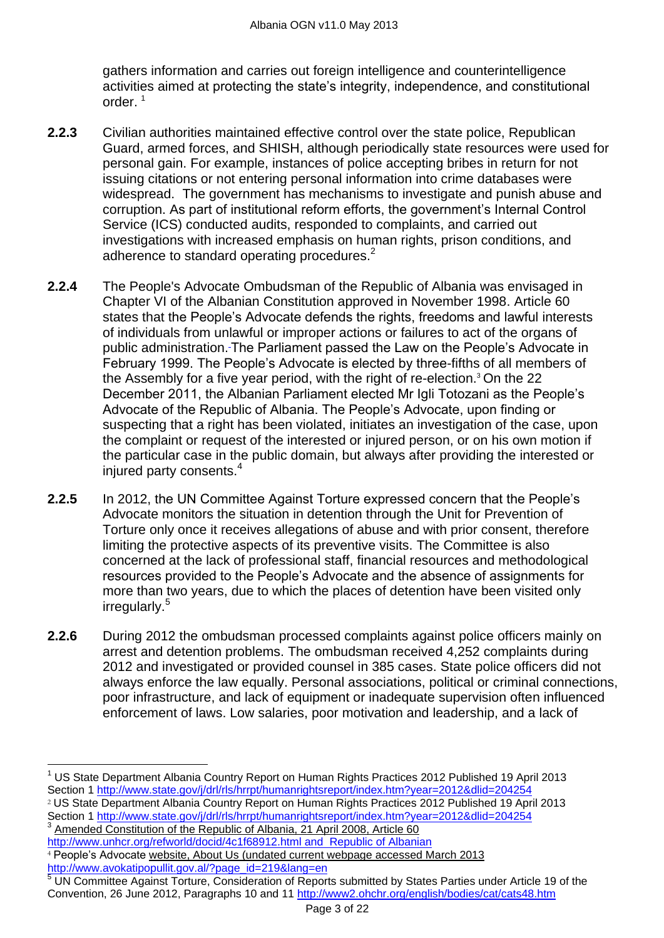gathers information and carries out foreign intelligence and counterintelligence activities aimed at protecting the state's integrity, independence, and constitutional order $1$ 

- **2.2.3** Civilian authorities maintained effective control over the state police, Republican Guard, armed forces, and SHISH, although periodically state resources were used for personal gain. For example, instances of police accepting bribes in return for not issuing citations or not entering personal information into crime databases were widespread. The government has mechanisms to investigate and punish abuse and corruption. As part of institutional reform efforts, the government's Internal Control Service (ICS) conducted audits, responded to complaints, and carried out investigations with increased emphasis on human rights, prison conditions, and adherence to standard operating procedures.<sup>2</sup>
- **2.2.4** The People's Advocate Ombudsman of the Republic of Albania was envisaged in Chapter VI of the Albanian Constitution approved in November 1998. Article 60 states that the People's Advocate defends the rights, freedoms and lawful interests of individuals from unlawful or improper actions or failures to act of the organs of public administration. The Parliament passed the Law on the People's Advocate in February 1999. The People's Advocate is elected by three-fifths of all members of the Assembly for a five year period, with the right of re-election. <sup>3</sup> On the 22 December 2011, the Albanian Parliament elected Mr Igli Totozani as the People's Advocate of the Republic of Albania. The People's Advocate, upon finding or suspecting that a right has been violated, initiates an investigation of the case, upon the complaint or request of the interested or injured person, or on his own motion if the particular case in the public domain, but always after providing the interested or injured party consents.<sup>4</sup>
- **2.2.5** In 2012, the UN Committee Against Torture expressed concern that the People's Advocate monitors the situation in detention through the Unit for Prevention of Torture only once it receives allegations of abuse and with prior consent, therefore limiting the protective aspects of its preventive visits. The Committee is also concerned at the lack of professional staff, financial resources and methodological resources provided to the People's Advocate and the absence of assignments for more than two years, due to which the places of detention have been visited only irregularly.<sup>5</sup>
- **2.2.6** During 2012 the ombudsman processed complaints against police officers mainly on arrest and detention problems. The ombudsman received 4,252 complaints during 2012 and investigated or provided counsel in 385 cases. State police officers did not always enforce the law equally. Personal associations, political or criminal connections, poor infrastructure, and lack of equipment or inadequate supervision often influenced enforcement of laws. Low salaries, poor motivation and leadership, and a lack of

<sup>2</sup> US State Department Albania Country Report on Human Rights Practices 2012 Published 19 April 2013 Section 1 http://www.state.gov/i/drl/rls/hrrpt/humanrightsreport/index.htm?year=2012&dlid=204254 Amended Constitution of the Republic of Albania, 21 April 2008, Article 60

<http://www.unhcr.org/refworld/docid/4c1f68912.html> and Republic of Albanian <sup>4</sup> People's Advocate website, About Us (undated current webpage accessed March 2013 http://www.avokatipopullit.gov.al/?page\_id=219&lang=en

 $\overline{a}$ 

<sup>5</sup> UN Committee Against Torture, Consideration of Reports submitted by States Parties under Article 19 of the Convention, 26 June 2012, Paragraphs 10 and 11<http://www2.ohchr.org/english/bodies/cat/cats48.htm>

<sup>1</sup> US State Department Albania Country Report on Human Rights Practices 2012 Published 19 April 2013 Section 1 <http://www.state.gov/j/drl/rls/hrrpt/humanrightsreport/index.htm?year=2012&dlid=204254>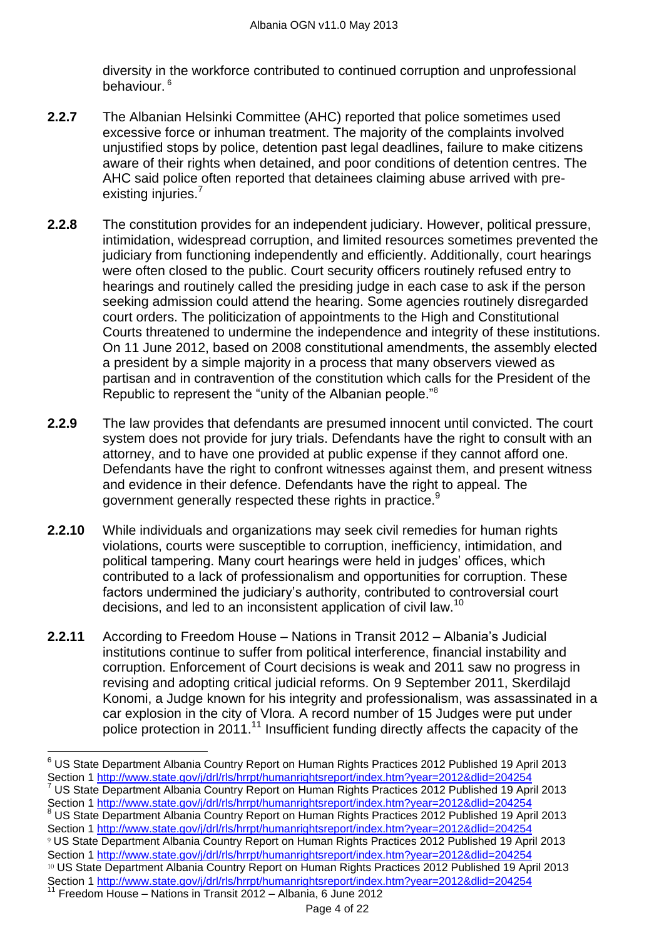diversity in the workforce contributed to continued corruption and unprofessional behaviour. <sup>6</sup>

- **2.2.7** The Albanian Helsinki Committee (AHC) reported that police sometimes used excessive force or inhuman treatment. The majority of the complaints involved unjustified stops by police, detention past legal deadlines, failure to make citizens aware of their rights when detained, and poor conditions of detention centres. The AHC said police often reported that detainees claiming abuse arrived with preexisting injuries.<sup>7</sup>
- **2.2.8** The constitution provides for an independent judiciary. However, political pressure, intimidation, widespread corruption, and limited resources sometimes prevented the judiciary from functioning independently and efficiently. Additionally, court hearings were often closed to the public. Court security officers routinely refused entry to hearings and routinely called the presiding judge in each case to ask if the person seeking admission could attend the hearing. Some agencies routinely disregarded court orders. The politicization of appointments to the High and Constitutional Courts threatened to undermine the independence and integrity of these institutions. On 11 June 2012, based on 2008 constitutional amendments, the assembly elected a president by a simple majority in a process that many observers viewed as partisan and in contravention of the constitution which calls for the President of the Republic to represent the "unity of the Albanian people."<sup>8</sup>
- **2.2.9** The law provides that defendants are presumed innocent until convicted. The court system does not provide for jury trials. Defendants have the right to consult with an attorney, and to have one provided at public expense if they cannot afford one. Defendants have the right to confront witnesses against them, and present witness and evidence in their defence. Defendants have the right to appeal. The government generally respected these rights in practice.<sup>9</sup>
- **2.2.10** While individuals and organizations may seek civil remedies for human rights violations, courts were susceptible to corruption, inefficiency, intimidation, and political tampering. Many court hearings were held in judges' offices, which contributed to a lack of professionalism and opportunities for corruption. These factors undermined the judiciary's authority, contributed to controversial court decisions, and led to an inconsistent application of civil law.<sup>10</sup>
- **2.2.11** According to Freedom House Nations in Transit 2012 Albania's Judicial institutions continue to suffer from political interference, financial instability and corruption. Enforcement of Court decisions is weak and 2011 saw no progress in revising and adopting critical judicial reforms. On 9 September 2011, Skerdilajd Konomi, a Judge known for his integrity and professionalism, was assassinated in a car explosion in the city of Vlora. A record number of 15 Judges were put under police protection in 2011.<sup>11</sup> Insufficient funding directly affects the capacity of the

 $\overline{a}$  $6$  US State Department Albania Country Report on Human Rights Practices 2012 Published 19 April 2013 Section 1<http://www.state.gov/j/drl/rls/hrrpt/humanrightsreport/index.htm?year=2012&dlid=204254> <sup>7</sup> US State Department Albania Country Report on Human Rights Practices 2012 Published 19 April 2013 Section 1<http://www.state.gov/j/drl/rls/hrrpt/humanrightsreport/index.htm?year=2012&dlid=204254> <sup>8</sup> US State Department Albania Country Report on Human Rights Practices 2012 Published 19 April 2013 Section 1<http://www.state.gov/j/drl/rls/hrrpt/humanrightsreport/index.htm?year=2012&dlid=204254> <sup>9</sup> US State Department Albania Country Report on Human Rights Practices 2012 Published 19 April 2013 Section 1<http://www.state.gov/j/drl/rls/hrrpt/humanrightsreport/index.htm?year=2012&dlid=204254> <sup>10</sup> US State Department Albania Country Report on Human Rights Practices 2012 Published 19 April 2013 Section 1<http://www.state.gov/j/drl/rls/hrrpt/humanrightsreport/index.htm?year=2012&dlid=204254><br><sup>11</sup> Freedom House Matiena in Transit 0010 matrices htm?year=2012&dlid=204254 <sup>11</sup> Freedom House – Nations in Transit 2012 – Albania, 6 June 2012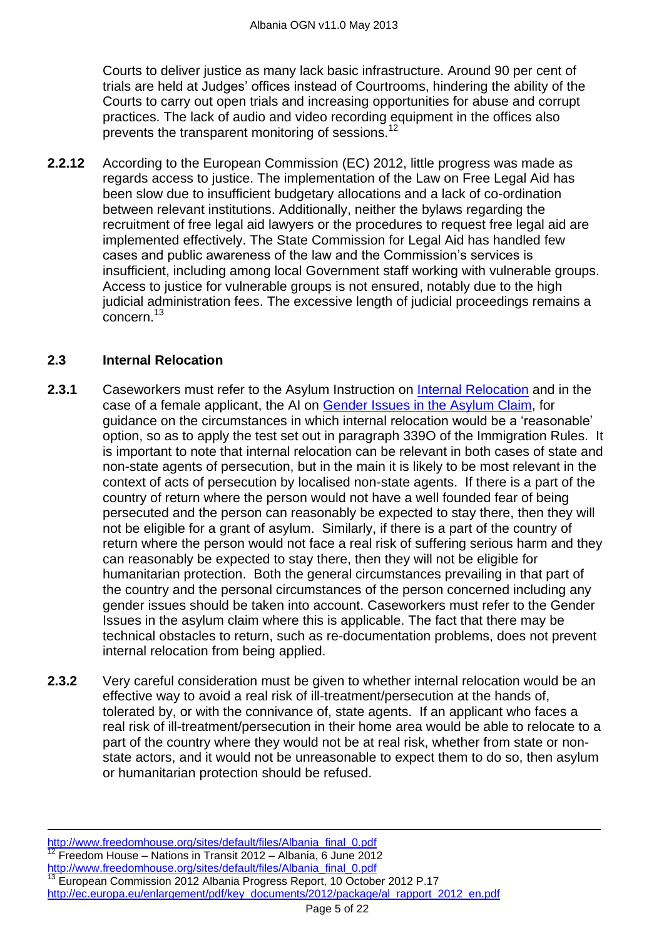Courts to deliver justice as many lack basic infrastructure. Around 90 per cent of trials are held at Judges' offices instead of Courtrooms, hindering the ability of the Courts to carry out open trials and increasing opportunities for abuse and corrupt practices. The lack of audio and video recording equipment in the offices also prevents the transparent monitoring of sessions.<sup>12</sup>

**2.2.12** According to the European Commission (EC) 2012, little progress was made as regards access to justice. The implementation of the Law on Free Legal Aid has been slow due to insufficient budgetary allocations and a lack of co-ordination between relevant institutions. Additionally, neither the bylaws regarding the recruitment of free legal aid lawyers or the procedures to request free legal aid are implemented effectively. The State Commission for Legal Aid has handled few cases and public awareness of the law and the Commission's services is insufficient, including among local Government staff working with vulnerable groups. Access to justice for vulnerable groups is not ensured, notably due to the high judicial administration fees. The excessive length of judicial proceedings remains a concern.<sup>13</sup>

# <span id="page-4-0"></span>**2.3 Internal Relocation**

- **2.3.1** Caseworkers must refer to the Asylum Instruction on [Internal Relocation](http://www.ukba.homeoffice.gov.uk/sitecontent/documents/policyandlaw/asylumpolicyinstructions/apis/internalrelocation.pdf?view=Binary) and in the case of a female applicant, the AI on [Gender Issues in the Asylum Claim,](http://www.ukba.homeoffice.gov.uk/sitecontent/documents/policyandlaw/asylumpolicyinstructions/apis/gender-issue-in-the-asylum.pdf?view=Binary) for guidance on the circumstances in which internal relocation would be a 'reasonable' option, so as to apply the test set out in paragraph 339O of the Immigration Rules. It is important to note that internal relocation can be relevant in both cases of state and non-state agents of persecution, but in the main it is likely to be most relevant in the context of acts of persecution by localised non-state agents. If there is a part of the country of return where the person would not have a well founded fear of being persecuted and the person can reasonably be expected to stay there, then they will not be eligible for a grant of asylum. Similarly, if there is a part of the country of return where the person would not face a real risk of suffering serious harm and they can reasonably be expected to stay there, then they will not be eligible for humanitarian protection. Both the general circumstances prevailing in that part of the country and the personal circumstances of the person concerned including any gender issues should be taken into account. Caseworkers must refer to the Gender Issues in the asylum claim where this is applicable. The fact that there may be technical obstacles to return, such as re-documentation problems, does not prevent internal relocation from being applied.
- **2.3.2** Very careful consideration must be given to whether internal relocation would be an effective way to avoid a real risk of ill-treatment/persecution at the hands of, tolerated by, or with the connivance of, state agents. If an applicant who faces a real risk of ill-treatment/persecution in their home area would be able to relocate to a part of the country where they would not be at real risk, whether from state or nonstate actors, and it would not be unreasonable to expect them to do so, then asylum or humanitarian protection should be refused.

[http://www.freedomhouse.org/sites/default/files/Albania\\_final\\_0.pdf](http://www.freedomhouse.org/sites/default/files/Albania_final_0.pdf) <sup>12</sup> Freedom House – Nations in Transit 2012 – Albania, 6 June 2012 [http://www.freedomhouse.org/sites/default/files/Albania\\_final\\_0.pdf](http://www.freedomhouse.org/sites/default/files/Albania_final_0.pdf) <sup>13</sup> European Commission 2012 Albania Progress Report, 10 October 2012 P.17 [http://ec.europa.eu/enlargement/pdf/key\\_documents/2012/package/al\\_rapport\\_2012\\_en.pdf](http://ec.europa.eu/enlargement/pdf/key_documents/2012/package/al_rapport_2012_en.pdf)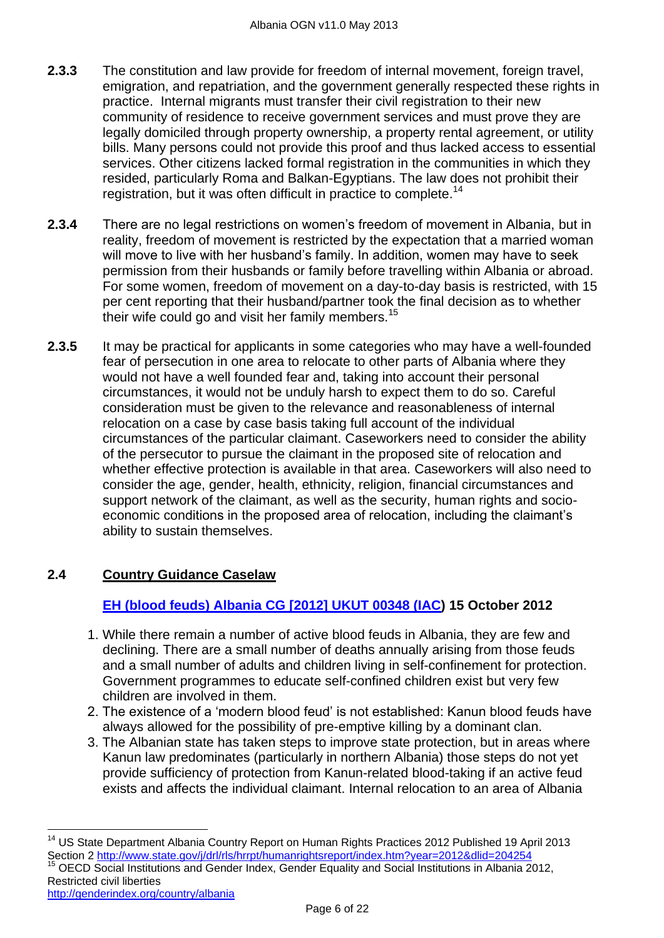- **2.3.3** The constitution and law provide for freedom of internal movement, foreign travel, emigration, and repatriation, and the government generally respected these rights in practice. Internal migrants must transfer their civil registration to their new community of residence to receive government services and must prove they are legally domiciled through property ownership, a property rental agreement, or utility bills. Many persons could not provide this proof and thus lacked access to essential services. Other citizens lacked formal registration in the communities in which they resided, particularly Roma and Balkan-Egyptians. The law does not prohibit their registration, but it was often difficult in practice to complete.<sup>14</sup>
- **2.3.4** There are no legal restrictions on women's freedom of movement in Albania, but in reality, freedom of movement is restricted by the expectation that a married woman will move to live with her husband's family. In addition, women may have to seek permission from their husbands or family before travelling within Albania or abroad. For some women, freedom of movement on a day-to-day basis is restricted, with 15 per cent reporting that their husband/partner took the final decision as to whether their wife could go and visit her family members.<sup>15</sup>
- **2.3.5** It may be practical for applicants in some categories who may have a well-founded fear of persecution in one area to relocate to other parts of Albania where they would not have a well founded fear and, taking into account their personal circumstances, it would not be unduly harsh to expect them to do so. Careful consideration must be given to the relevance and reasonableness of internal relocation on a case by case basis taking full account of the individual circumstances of the particular claimant. Caseworkers need to consider the ability of the persecutor to pursue the claimant in the proposed site of relocation and whether effective protection is available in that area. Caseworkers will also need to consider the age, gender, health, ethnicity, religion, financial circumstances and support network of the claimant, as well as the security, human rights and socioeconomic conditions in the proposed area of relocation, including the claimant's ability to sustain themselves.

# <span id="page-5-1"></span>**2.4 Country Guidance Caselaw**

 $\overline{\phantom{a}}$ 

# <span id="page-5-0"></span>**[EH \(blood feuds\) Albania CG \[2012\] UKUT 00348 \(IAC\)](http://www.bailii.org/uk/cases/UKUT/IAC/2012/00348_ukut_iac_2012_eh_albania_cg.htm) 15 October 2012**

- 1. While there remain a number of active blood feuds in Albania, they are few and declining. There are a small number of deaths annually arising from those feuds and a small number of adults and children living in self-confinement for protection. Government programmes to educate self-confined children exist but very few children are involved in them.
- 2. The existence of a 'modern blood feud' is not established: Kanun blood feuds have always allowed for the possibility of pre-emptive killing by a dominant clan.
- 3. The Albanian state has taken steps to improve state protection, but in areas where Kanun law predominates (particularly in northern Albania) those steps do not yet provide sufficiency of protection from Kanun-related blood-taking if an active feud exists and affects the individual claimant. Internal relocation to an area of Albania

<sup>&</sup>lt;sup>14</sup> US State Department Albania Country Report on Human Rights Practices 2012 Published 19 April 2013 Section 2<http://www.state.gov/j/drl/rls/hrrpt/humanrightsreport/index.htm?year=2012&dlid=204254> <sup>15</sup> OECD Social Institutions and Gender Index, Gender Equality and Social Institutions in Albania 2012, Restricted civil liberties <http://genderindex.org/country/albania>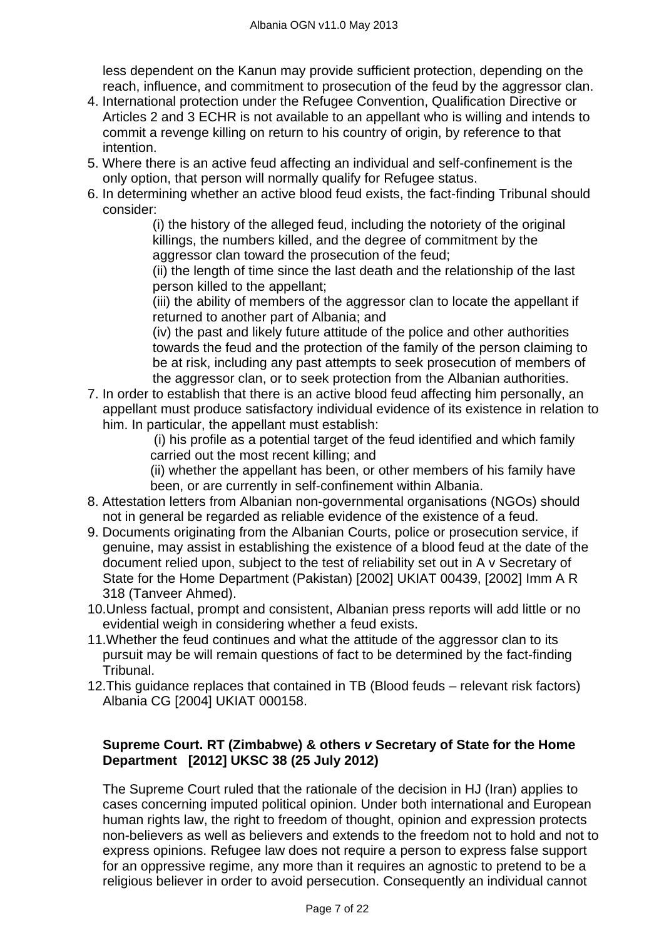less dependent on the Kanun may provide sufficient protection, depending on the reach, influence, and commitment to prosecution of the feud by the aggressor clan.

- 4. International protection under the Refugee Convention, Qualification Directive or Articles 2 and 3 ECHR is not available to an appellant who is willing and intends to commit a revenge killing on return to his country of origin, by reference to that intention.
- 5. Where there is an active feud affecting an individual and self-confinement is the only option, that person will normally qualify for Refugee status.
- 6. In determining whether an active blood feud exists, the fact-finding Tribunal should consider:

(i) the history of the alleged feud, including the notoriety of the original killings, the numbers killed, and the degree of commitment by the aggressor clan toward the prosecution of the feud;

(ii) the length of time since the last death and the relationship of the last person killed to the appellant;

(iii) the ability of members of the aggressor clan to locate the appellant if returned to another part of Albania; and

(iv) the past and likely future attitude of the police and other authorities towards the feud and the protection of the family of the person claiming to be at risk, including any past attempts to seek prosecution of members of the aggressor clan, or to seek protection from the Albanian authorities.

7. In order to establish that there is an active blood feud affecting him personally, an appellant must produce satisfactory individual evidence of its existence in relation to him. In particular, the appellant must establish:

(i) his profile as a potential target of the feud identified and which family carried out the most recent killing; and

(ii) whether the appellant has been, or other members of his family have been, or are currently in self-confinement within Albania.

- 8. Attestation letters from Albanian non-governmental organisations (NGOs) should not in general be regarded as reliable evidence of the existence of a feud.
- 9. Documents originating from the Albanian Courts, police or prosecution service, if genuine, may assist in establishing the existence of a blood feud at the date of the document relied upon, subject to the test of reliability set out in A v Secretary of State for the Home Department (Pakistan) [2002] UKIAT 00439, [2002] Imm A R 318 (Tanveer Ahmed).
- 10.Unless factual, prompt and consistent, Albanian press reports will add little or no evidential weigh in considering whether a feud exists.
- 11.Whether the feud continues and what the attitude of the aggressor clan to its pursuit may be will remain questions of fact to be determined by the fact-finding Tribunal.
- 12.This guidance replaces that contained in TB (Blood feuds relevant risk factors) Albania CG [2004] UKIAT 000158.

# **[Supreme Court. RT \(Zimbabwe\) &](http://www.supremecourt.gov.uk/docs/UKSC_2011_0011_Judgment.pdf) others** *v* **Secretary of State for the Home [Department \[2012\] UKSC 38 \(25 July 2012\)](http://www.supremecourt.gov.uk/docs/UKSC_2011_0011_Judgment.pdf)**

The Supreme Court ruled that the rationale of the decision in HJ (Iran) applies to cases concerning imputed political opinion. Under both international and European human rights law, the right to freedom of thought, opinion and expression protects non-believers as well as believers and extends to the freedom not to hold and not to express opinions. Refugee law does not require a person to express false support for an oppressive regime, any more than it requires an agnostic to pretend to be a religious believer in order to avoid persecution. Consequently an individual cannot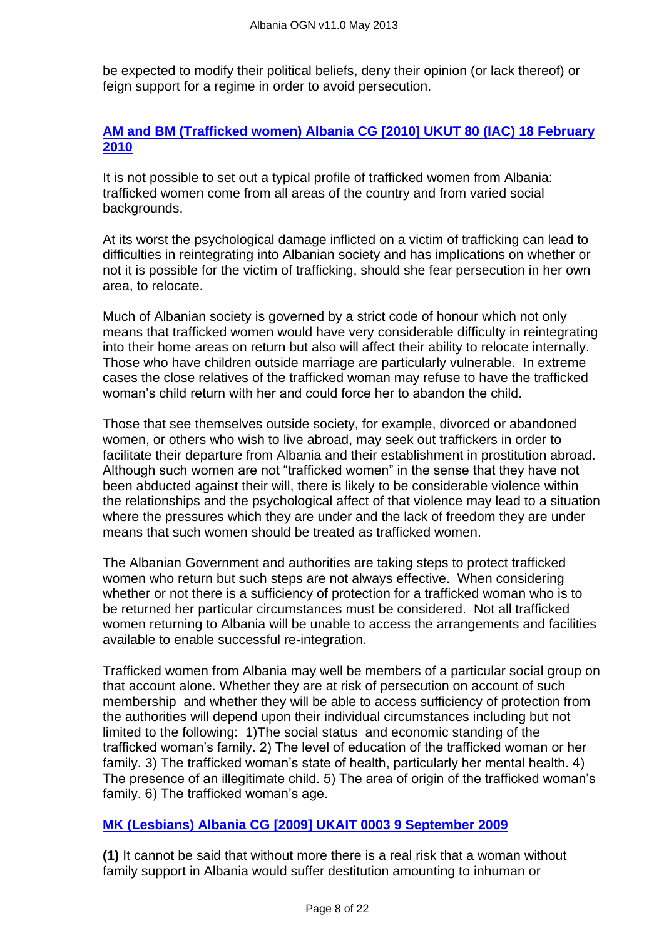be expected to modify their political beliefs, deny their opinion (or lack thereof) or feign support for a regime in order to avoid persecution.

## **[AM and BM \(Trafficked women\) Albania CG \[2010\] UKUT 80 \(IAC\)](http://www.bailii.org/uk/cases/UKUT/IAC/2010/00080_ukut_iac_2010_am_bm_albania_cg.html) 18 February [2010](http://www.bailii.org/uk/cases/UKUT/IAC/2010/00080_ukut_iac_2010_am_bm_albania_cg.html)**

It is not possible to set out a typical profile of trafficked women from Albania: trafficked women come from all areas of the country and from varied social backgrounds.

At its worst the psychological damage inflicted on a victim of trafficking can lead to difficulties in reintegrating into Albanian society and has implications on whether or not it is possible for the victim of trafficking, should she fear persecution in her own area, to relocate.

Much of Albanian society is governed by a strict code of honour which not only means that trafficked women would have very considerable difficulty in reintegrating into their home areas on return but also will affect their ability to relocate internally. Those who have children outside marriage are particularly vulnerable. In extreme cases the close relatives of the trafficked woman may refuse to have the trafficked woman's child return with her and could force her to abandon the child.

Those that see themselves outside society, for example, divorced or abandoned women, or others who wish to live abroad, may seek out traffickers in order to facilitate their departure from Albania and their establishment in prostitution abroad. Although such women are not "trafficked women" in the sense that they have not been abducted against their will, there is likely to be considerable violence within the relationships and the psychological affect of that violence may lead to a situation where the pressures which they are under and the lack of freedom they are under means that such women should be treated as trafficked women.

The Albanian Government and authorities are taking steps to protect trafficked women who return but such steps are not always effective. When considering whether or not there is a sufficiency of protection for a trafficked woman who is to be returned her particular circumstances must be considered. Not all trafficked women returning to Albania will be unable to access the arrangements and facilities available to enable successful re-integration.

Trafficked women from Albania may well be members of a particular social group on that account alone. Whether they are at risk of persecution on account of such membership and whether they will be able to access sufficiency of protection from the authorities will depend upon their individual circumstances including but not limited to the following: 1)The social status and economic standing of the trafficked woman's family. 2) The level of education of the trafficked woman or her family. 3) The trafficked woman's state of health, particularly her mental health. 4) The presence of an illegitimate child. 5) The area of origin of the trafficked woman's family. 6) The trafficked woman's age.

#### **[MK \(Lesbians\) Albania CG \[2009\] UKAIT 0003](http://www.bailii.org/uk/cases/UKIAT/2009/00036.html) 9 September 2009**

**(1)** It cannot be said that without more there is a real risk that a woman without family support in Albania would suffer destitution amounting to inhuman or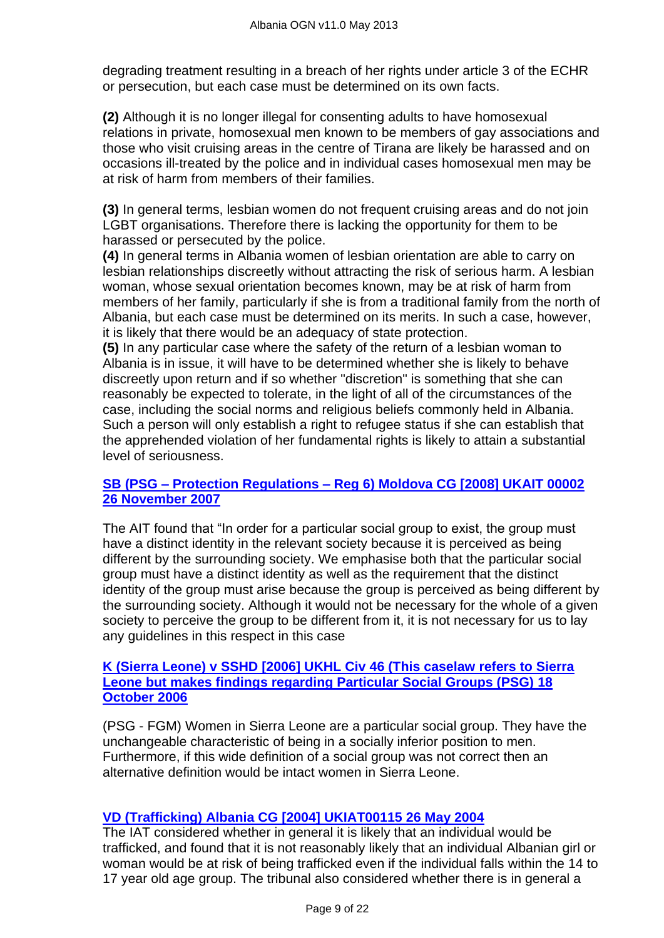degrading treatment resulting in a breach of her rights under article 3 of the ECHR or persecution, but each case must be determined on its own facts.

**(2)** Although it is no longer illegal for consenting adults to have homosexual relations in private, homosexual men known to be members of gay associations and those who visit cruising areas in the centre of Tirana are likely be harassed and on occasions ill-treated by the police and in individual cases homosexual men may be at risk of harm from members of their families.

**(3)** In general terms, lesbian women do not frequent cruising areas and do not join LGBT organisations. Therefore there is lacking the opportunity for them to be harassed or persecuted by the police.

**(4)** In general terms in Albania women of lesbian orientation are able to carry on lesbian relationships discreetly without attracting the risk of serious harm. A lesbian woman, whose sexual orientation becomes known, may be at risk of harm from members of her family, particularly if she is from a traditional family from the north of Albania, but each case must be determined on its merits. In such a case, however, it is likely that there would be an adequacy of state protection.

**(5)** In any particular case where the safety of the return of a lesbian woman to Albania is in issue, it will have to be determined whether she is likely to behave discreetly upon return and if so whether "discretion" is something that she can reasonably be expected to tolerate, in the light of all of the circumstances of the case, including the social norms and religious beliefs commonly held in Albania. Such a person will only establish a right to refugee status if she can establish that the apprehended violation of her fundamental rights is likely to attain a substantial level of seriousness.

#### **SB (PSG – Protection Regulations – [Reg 6\) Moldova CG \[2008\] UKAIT 00002](http://www.bailii.org/uk/cases/UKIAT/2008/00002.html)  [26 November 2007](http://www.bailii.org/uk/cases/UKIAT/2008/00002.html)**

The AIT found that "In order for a particular social group to exist, the group must have a distinct identity in the relevant society because it is perceived as being different by the surrounding society. We emphasise both that the particular social group must have a distinct identity as well as the requirement that the distinct identity of the group must arise because the group is perceived as being different by the surrounding society. Although it would not be necessary for the whole of a given society to perceive the group to be different from it, it is not necessary for us to lay any guidelines in this respect in this case

#### **[K \(Sierra Leone\) v SSHD \[2006\] UKHL Civ 46 \(This caselaw](http://www.bailii.org/uk/cases/UKHL/2006/46.html) refers to Sierra [Leone but makes findings regarding Particular Social Groups \(PSG\)](http://www.bailii.org/uk/cases/UKHL/2006/46.html) 18 [October 2006](http://www.bailii.org/uk/cases/UKHL/2006/46.html)**

(PSG - FGM) Women in Sierra Leone are a particular social group. They have the unchangeable characteristic of being in a socially inferior position to men. Furthermore, if this wide definition of a social group was not correct then an alternative definition would be intact women in Sierra Leone.

#### **[VD \(Trafficking\) Albania CG \[2004\] UKIAT00115](http://www.bailii.org/uk/cases/UKIAT/2004/00115.html) 26 May 2004**

The IAT considered whether in general it is likely that an individual would be trafficked, and found that it is not reasonably likely that an individual Albanian girl or woman would be at risk of being trafficked even if the individual falls within the 14 to 17 year old age group. The tribunal also considered whether there is in general a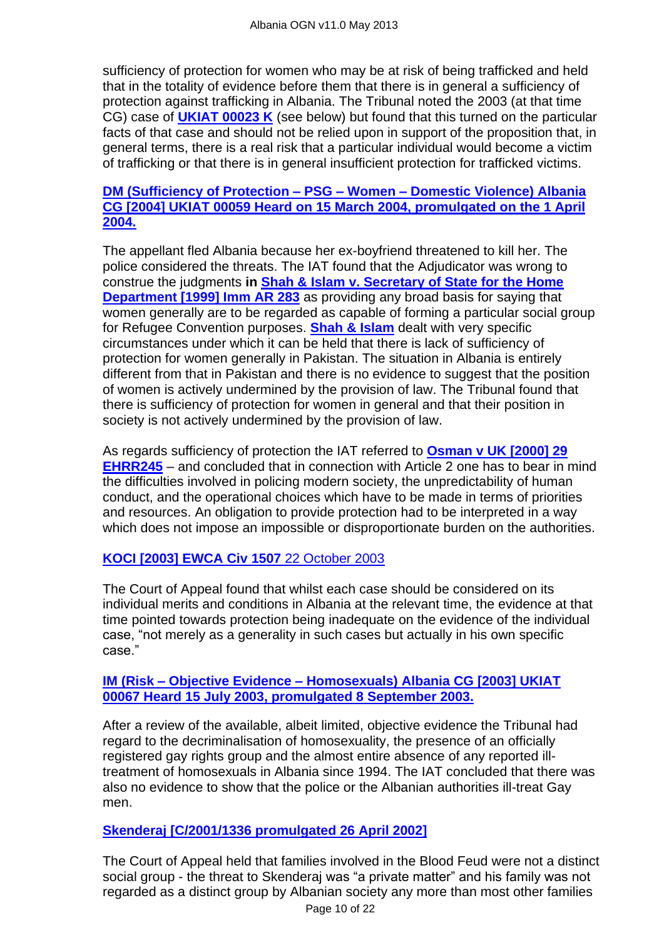sufficiency of protection for women who may be at risk of being trafficked and held that in the totality of evidence before them that there is in general a sufficiency of protection against trafficking in Albania. The Tribunal noted the 2003 (at that time CG) case of **[UKIAT 00023 K](http://www.bailii.org/cgi-bin/markup.cgi?doc=/uk/cases/UKIAT/2006/00023.html&query=fs&method=boolean)** (see below) but found that this turned on the particular facts of that case and should not be relied upon in support of the proposition that, in general terms, there is a real risk that a particular individual would become a victim of trafficking or that there is in general insufficient protection for trafficked victims.

#### **[DM \(Sufficiency of Protection –](http://www.bailii.org/uk/cases/UKIAT/2004/00059.html) PSG – Women – Domestic Violence) Albania [CG \[2004\] UKIAT 00059 Heard on 15 March 2004, promulgated on the 1 April](http://www.bailii.org/uk/cases/UKIAT/2004/00059.html)  [2004.](http://www.bailii.org/uk/cases/UKIAT/2004/00059.html)**

The appellant fled Albania because her ex-boyfriend threatened to kill her. The police considered the threats. The IAT found that the Adjudicator was wrong to construe the judgments **in [Shah & Islam v. Secretary of State for the Home](http://www.bailii.org/cgi-bin/markup.cgi?doc=/uk/cases/UKHL/1999/20.html&query=shah+and+islam&method=boolean)  [Department \[1999\] Imm AR 283](http://www.bailii.org/cgi-bin/markup.cgi?doc=/uk/cases/UKHL/1999/20.html&query=shah+and+islam&method=boolean)** as providing any broad basis for saying that women generally are to be regarded as capable of forming a particular social group for Refugee Convention purposes. **[Shah & Islam](http://www.bailii.org/cgi-bin/markup.cgi?doc=/uk/cases/UKHL/1999/20.html&query=shah+and+islam&method=boolean)** dealt with very specific circumstances under which it can be held that there is lack of sufficiency of protection for women generally in Pakistan. The situation in Albania is entirely different from that in Pakistan and there is no evidence to suggest that the position of women is actively undermined by the provision of law. The Tribunal found that there is sufficiency of protection for women in general and that their position in society is not actively undermined by the provision of law.

As regards sufficiency of protection the IAT referred to **[Osman v UK \[2000\] 29](http://www.bailii.org/eu/cases/ECHR/1998/101.html)  [EHRR245](http://www.bailii.org/eu/cases/ECHR/1998/101.html)** – and concluded that in connection with Article 2 one has to bear in mind the difficulties involved in policing modern society, the unpredictability of human conduct, and the operational choices which have to be made in terms of priorities and resources. An obligation to provide protection had to be interpreted in a way which does not impose an impossible or disproportionate burden on the authorities.

# **[KOCI \[2003\] EWCA Civ 1507](http://www.bailii.org/ew/cases/EWCA/Civ/2003/1507.html)** 22 October 2003

The Court of Appeal found that whilst each case should be considered on its individual merits and conditions in Albania at the relevant time, the evidence at that time pointed towards protection being inadequate on the evidence of the individual case, "not merely as a generality in such cases but actually in his own specific case."

#### **IM (Risk – Objective Evidence – [Homosexuals\) Albania CG \[2003\] UKIAT](http://www.bailii.org/uk/cases/UKIAT/2003/00067.html)  [00067 Heard 15 July 2003, promulgated 8 September 2003.](http://www.bailii.org/uk/cases/UKIAT/2003/00067.html)**

After a review of the available, albeit limited, objective evidence the Tribunal had regard to the decriminalisation of homosexuality, the presence of an officially registered gay rights group and the almost entire absence of any reported illtreatment of homosexuals in Albania since 1994. The IAT concluded that there was also no evidence to show that the police or the Albanian authorities ill-treat Gay men.

#### **[Skenderaj \[C/2001/1336 promulgated 26 April 2002\]](http://www.bailii.org/ew/cases/EWCA/Civ/2002/567.html)**

Page 10 of 22 The Court of Appeal held that families involved in the Blood Feud were not a distinct social group - the threat to Skenderaj was "a private matter" and his family was not regarded as a distinct group by Albanian society any more than most other families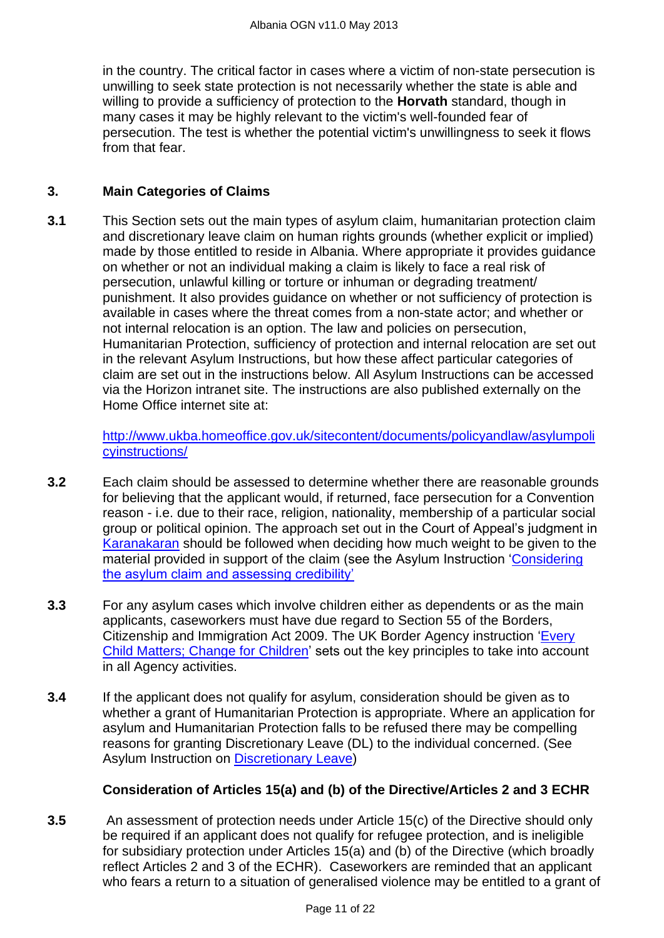in the country. The critical factor in cases where a victim of non-state persecution is unwilling to seek state protection is not necessarily whether the state is able and willing to provide a sufficiency of protection to the **Horvath** standard, though in many cases it may be highly relevant to the victim's well-founded fear of persecution. The test is whether the potential victim's unwillingness to seek it flows from that fear.

### **3. Main Categories of Claims**

**3.1** This Section sets out the main types of asylum claim, humanitarian protection claim and discretionary leave claim on human rights grounds (whether explicit or implied) made by those entitled to reside in Albania. Where appropriate it provides guidance on whether or not an individual making a claim is likely to face a real risk of persecution, unlawful killing or torture or inhuman or degrading treatment/ punishment. It also provides guidance on whether or not sufficiency of protection is available in cases where the threat comes from a non-state actor; and whether or not internal relocation is an option. The law and policies on persecution, Humanitarian Protection, sufficiency of protection and internal relocation are set out in the relevant Asylum Instructions, but how these affect particular categories of claim are set out in the instructions below. All Asylum Instructions can be accessed via the Horizon intranet site. The instructions are also published externally on the Home Office internet site at:

> [http://www.ukba.homeoffice.gov.uk/sitecontent/documents/policyandlaw/asylumpoli](http://www.ukba.homeoffice.gov.uk/sitecontent/documents/policyandlaw/asylumpolicyinstructions/) [cyinstructions/](http://www.ukba.homeoffice.gov.uk/sitecontent/documents/policyandlaw/asylumpolicyinstructions/)

- **3.2** Each claim should be assessed to determine whether there are reasonable grounds for believing that the applicant would, if returned, face persecution for a Convention reason - i.e. due to their race, religion, nationality, membership of a particular social group or political opinion. The approach set out in the Court of Appeal's judgment in [Karanakaran](http://www.bailii.org/cgi-bin/markup.cgi?doc=/ew/cases/EWCA/Civ/2000/11.html&query=Karanakaran&method=all) should be followed when deciding how much weight to be given to the material provided in support of the claim (see the Asylum Instruction 'Considering [the asylum claim and assessing credibility'](http://www.ukba.homeoffice.gov.uk/sitecontent/documents/policyandlaw/asylumprocessguidance/consideringanddecidingtheclaim/guidance/considering-protection-.pdf?view=Binary)
- **3.3** For any asylum cases which involve children either as dependents or as the main applicants, caseworkers must have due regard to Section 55 of the Borders, Citizenship and Immigration Act 2009. The UK Border Agency instruction 'Every [Child Matters; Change for Children'](http://www.ukba.homeoffice.gov.uk/sitecontent/documents/policyandlaw/legislation/bci-act1/change-for-children.pdf?view=Binary) sets out the key principles to take into account in all Agency activities.
- **3.4** If the applicant does not qualify for asylum, consideration should be given as to whether a grant of Humanitarian Protection is appropriate. Where an application for asylum and Humanitarian Protection falls to be refused there may be compelling reasons for granting Discretionary Leave (DL) to the individual concerned. (See Asylum Instruction on [Discretionary Leave\)](http://www.ukba.homeoffice.gov.uk/sitecontent/documents/policyandlaw/asylumpolicyinstructions/apis/discretionaryleave.pdf?view=Binary)

# **Consideration of Articles 15(a) and (b) of the Directive/Articles 2 and 3 ECHR**

**3.5** An assessment of protection needs under Article 15(c) of the Directive should only be required if an applicant does not qualify for refugee protection, and is ineligible for subsidiary protection under Articles 15(a) and (b) of the Directive (which broadly reflect Articles 2 and 3 of the ECHR). Caseworkers are reminded that an applicant who fears a return to a situation of generalised violence may be entitled to a grant of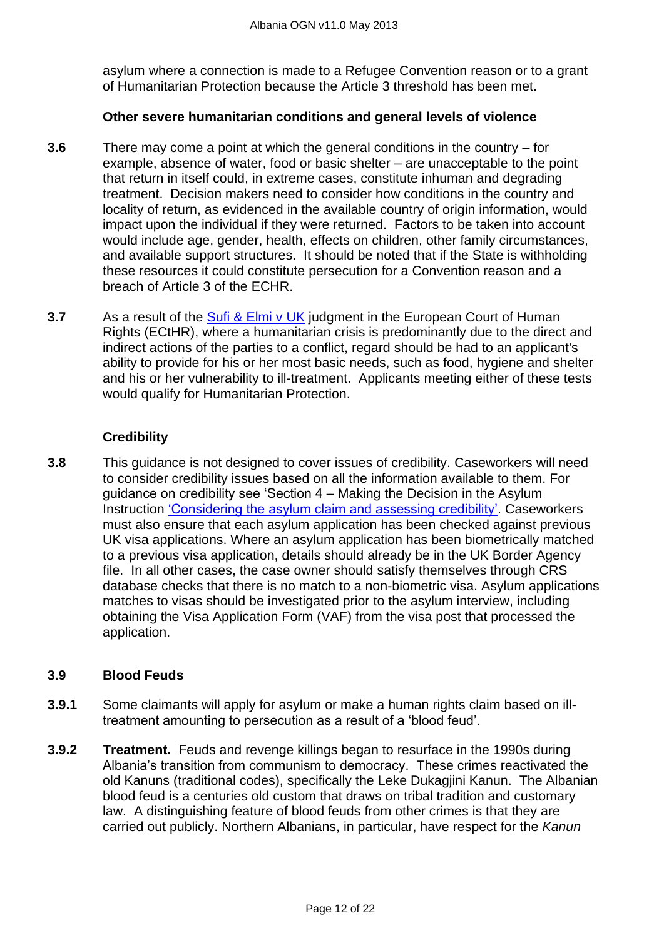asylum where a connection is made to a Refugee Convention reason or to a grant of Humanitarian Protection because the Article 3 threshold has been met.

#### **Other severe humanitarian conditions and general levels of violence**

- **3.6** There may come a point at which the general conditions in the country for example, absence of water, food or basic shelter – are unacceptable to the point that return in itself could, in extreme cases, constitute inhuman and degrading treatment. Decision makers need to consider how conditions in the country and locality of return, as evidenced in the available country of origin information, would impact upon the individual if they were returned. Factors to be taken into account would include age, gender, health, effects on children, other family circumstances, and available support structures. It should be noted that if the State is withholding these resources it could constitute persecution for a Convention reason and a breach of Article 3 of the ECHR.
- **3.7** As a result of the [Sufi & Elmi v UK](http://www.bailii.org/cgi-bin/markup.cgi?doc=/eu/cases/ECHR/2011/1045.html&query=sufi+and+elmi+and+v+and+UK&method=boolean) judgment in the European Court of Human Rights (ECtHR), where a humanitarian crisis is predominantly due to the direct and indirect actions of the parties to a conflict, regard should be had to an applicant's ability to provide for his or her most basic needs, such as food, hygiene and shelter and his or her vulnerability to ill-treatment. Applicants meeting either of these tests would qualify for Humanitarian Protection.

#### **Credibility**

**3.8** This guidance is not designed to cover issues of credibility. Caseworkers will need to consider credibility issues based on all the information available to them. For guidance on credibility see 'Section  $4 -$  Making the Decision in the Asylum Instruction 'Considering the asylum claim and assessing credibility'. Caseworkers must also ensure that each asylum application has been checked against previous UK visa applications. Where an asylum application has been biometrically matched to a previous visa application, details should already be in the UK Border Agency file. In all other cases, the case owner should satisfy themselves through CRS database checks that there is no match to a non-biometric visa. Asylum applications matches to visas should be investigated prior to the asylum interview, including obtaining the Visa Application Form (VAF) from the visa post that processed the application.

#### <span id="page-11-0"></span>**3.9 Blood Feuds**

- **3.9.1** Some claimants will apply for asylum or make a human rights claim based on illtreatment amounting to persecution as a result of a 'blood feud'.
- **3.9.2 Treatment***.* Feuds and revenge killings began to resurface in the 1990s during Albania's transition from communism to democracy. These crimes reactivated the old Kanuns (traditional codes), specifically the Leke Dukagjini Kanun. The Albanian blood feud is a centuries old custom that draws on tribal tradition and customary law. A distinguishing feature of blood feuds from other crimes is that they are carried out publicly. Northern Albanians, in particular, have respect for the *Kanun*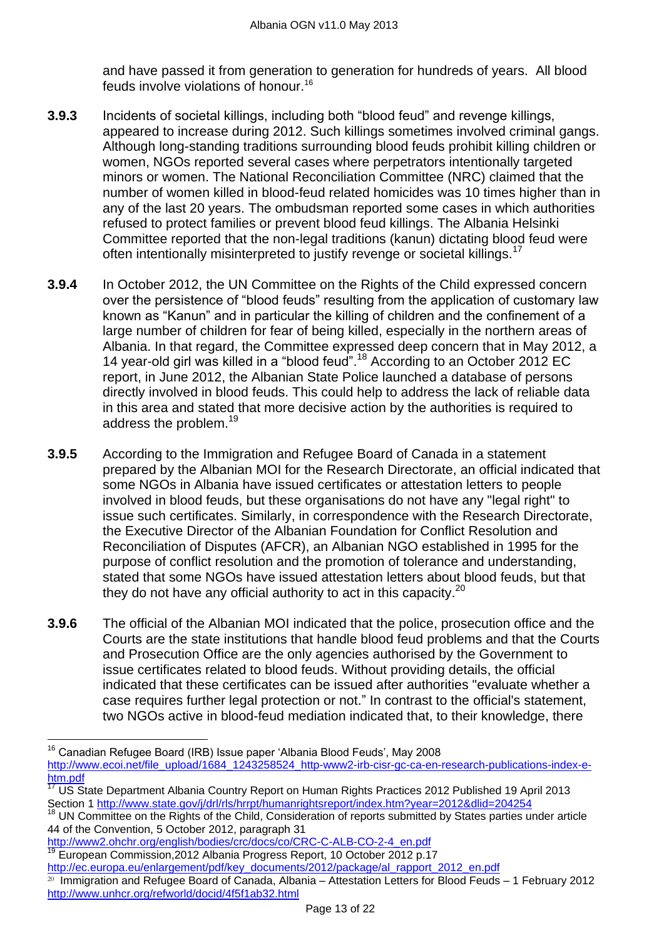and have passed it from generation to generation for hundreds of years. All blood feuds involve violations of honour.<sup>16</sup>

- **3.9.3** Incidents of societal killings, including both "blood feud" and revenge killings, appeared to increase during 2012. Such killings sometimes involved criminal gangs. Although long-standing traditions surrounding blood feuds prohibit killing children or women, NGOs reported several cases where perpetrators intentionally targeted minors or women. The National Reconciliation Committee (NRC) claimed that the number of women killed in blood-feud related homicides was 10 times higher than in any of the last 20 years. The ombudsman reported some cases in which authorities refused to protect families or prevent blood feud killings. The Albania Helsinki Committee reported that the non-legal traditions (kanun) dictating blood feud were often intentionally misinterpreted to justify revenge or societal killings.<sup>17</sup>
- **3.9.4** In October 2012, the UN Committee on the Rights of the Child expressed concern over the persistence of "blood feuds" resulting from the application of customary law known as "Kanun" and in particular the killing of children and the confinement of a large number of children for fear of being killed, especially in the northern areas of Albania. In that regard, the Committee expressed deep concern that in May 2012, a 14 year-old girl was killed in a "blood feud".<sup>18</sup> According to an October 2012 EC report, in June 2012, the Albanian State Police launched a database of persons directly involved in blood feuds. This could help to address the lack of reliable data in this area and stated that more decisive action by the authorities is required to address the problem.<sup>19</sup>
- **3.9.5** According to the Immigration and Refugee Board of Canada in a statement prepared by the Albanian MOI for the Research Directorate, an official indicated that some NGOs in Albania have issued certificates or attestation letters to people involved in blood feuds, but these organisations do not have any "legal right" to issue such certificates. Similarly, in correspondence with the Research Directorate, the Executive Director of the Albanian Foundation for Conflict Resolution and Reconciliation of Disputes (AFCR), an Albanian NGO established in 1995 for the purpose of conflict resolution and the promotion of tolerance and understanding, stated that some NGOs have issued attestation letters about blood feuds, but that they do not have any official authority to act in this capacity. $20$
- **3.9.6** The official of the Albanian MOI indicated that the police, prosecution office and the Courts are the state institutions that handle blood feud problems and that the Courts and Prosecution Office are the only agencies authorised by the Government to issue certificates related to blood feuds. Without providing details, the official indicated that these certificates can be issued after authorities "evaluate whether a case requires further legal protection or not." In contrast to the official's statement, two NGOs active in blood-feud mediation indicated that, to their knowledge, there

[http://www2.ohchr.org/english/bodies/crc/docs/co/CRC-C-ALB-CO-2-4\\_en.pdf](http://www2.ohchr.org/english/bodies/crc/docs/co/CRC-C-ALB-CO-2-4_en.pdf) <sup>19</sup> European Commission,2012 Albania Progress Report, 10 October 2012 p.17 [http://ec.europa.eu/enlargement/pdf/key\\_documents/2012/package/al\\_rapport\\_2012\\_en.pdf](http://ec.europa.eu/enlargement/pdf/key_documents/2012/package/al_rapport_2012_en.pdf)

 $\overline{a}$ <sup>16</sup> Canadian Refugee Board (IRB) Issue paper 'Albania Blood Feuds', May 2008 [http://www.ecoi.net/file\\_upload/1684\\_1243258524\\_http-www2-irb-cisr-gc-ca-en-research-publications-index-e](http://www.ecoi.net/file_upload/1684_1243258524_http-www2-irb-cisr-gc-ca-en-research-publications-index-e-htm.pdf)[htm.pdf](http://www.ecoi.net/file_upload/1684_1243258524_http-www2-irb-cisr-gc-ca-en-research-publications-index-e-htm.pdf)

 $\frac{17}{17}$  US State Department Albania Country Report on Human Rights Practices 2012 Published 19 April 2013 Section 1<http://www.state.gov/j/drl/rls/hrrpt/humanrightsreport/index.htm?year=2012&dlid=204254>

<sup>18</sup> UN Committee on the Rights of the Child, Consideration of reports submitted by States parties under article 44 of the Convention, 5 October 2012, paragraph 31

 $20$  Immigration and Refugee Board of Canada, Albania – Attestation Letters for Blood Feuds – 1 February 2012 <http://www.unhcr.org/refworld/docid/4f5f1ab32.html>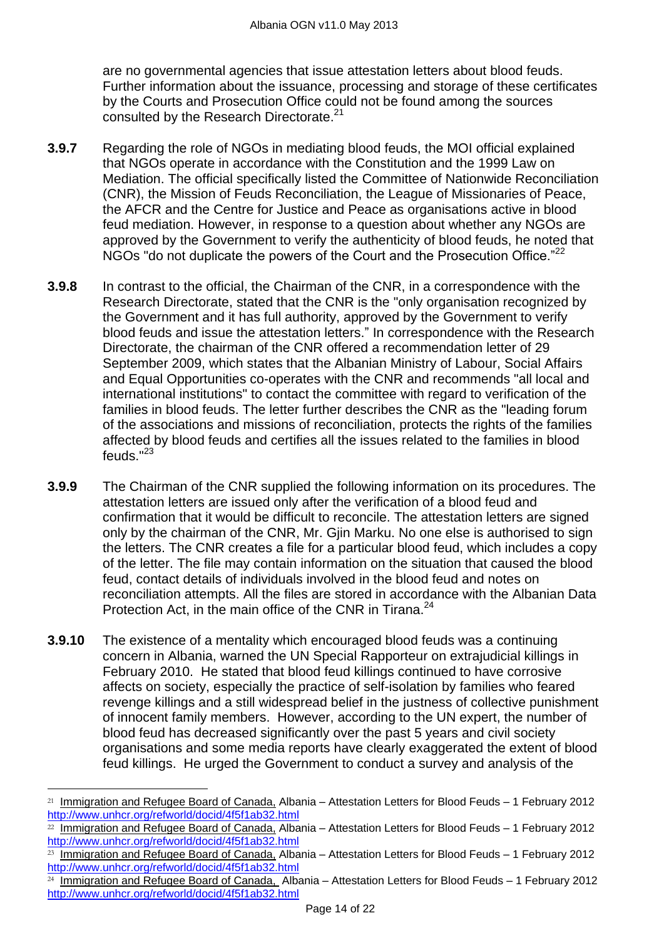are no governmental agencies that issue attestation letters about blood feuds. Further information about the issuance, processing and storage of these certificates by the Courts and Prosecution Office could not be found among the sources consulted by the Research Directorate.<sup>21</sup>

- **3.9.7** Regarding the role of NGOs in mediating blood feuds, the MOI official explained that NGOs operate in accordance with the Constitution and the 1999 Law on Mediation. The official specifically listed the Committee of Nationwide Reconciliation (CNR), the Mission of Feuds Reconciliation, the League of Missionaries of Peace, the AFCR and the Centre for Justice and Peace as organisations active in blood feud mediation. However, in response to a question about whether any NGOs are approved by the Government to verify the authenticity of blood feuds, he noted that NGOs "do not duplicate the powers of the Court and the Prosecution Office."<sup>22</sup>
- **3.9.8** In contrast to the official, the Chairman of the CNR, in a correspondence with the Research Directorate, stated that the CNR is the "only organisation recognized by the Government and it has full authority, approved by the Government to verify blood feuds and issue the attestation letters." In correspondence with the Research Directorate, the chairman of the CNR offered a recommendation letter of 29 September 2009, which states that the Albanian Ministry of Labour, Social Affairs and Equal Opportunities co-operates with the CNR and recommends "all local and international institutions" to contact the committee with regard to verification of the families in blood feuds. The letter further describes the CNR as the "leading forum of the associations and missions of reconciliation, protects the rights of the families affected by blood feuds and certifies all the issues related to the families in blood feuds." 23
- **3.9.9** The Chairman of the CNR supplied the following information on its procedures. The attestation letters are issued only after the verification of a blood feud and confirmation that it would be difficult to reconcile. The attestation letters are signed only by the chairman of the CNR, Mr. Giin Marku. No one else is authorised to sign the letters. The CNR creates a file for a particular blood feud, which includes a copy of the letter. The file may contain information on the situation that caused the blood feud, contact details of individuals involved in the blood feud and notes on reconciliation attempts. All the files are stored in accordance with the Albanian Data Protection Act, in the main office of the CNR in Tirana.<sup>24</sup>
- **3.9.10** The existence of a mentality which encouraged blood feuds was a continuing concern in Albania, warned the UN Special Rapporteur on extrajudicial killings in February 2010. He stated that blood feud killings continued to have corrosive affects on society, especially the practice of self-isolation by families who feared revenge killings and a still widespread belief in the justness of collective punishment of innocent family members. However, according to the UN expert, the number of blood feud has decreased significantly over the past 5 years and civil society organisations and some media reports have clearly exaggerated the extent of blood feud killings. He urged the Government to conduct a survey and analysis of the

<sup>&</sup>lt;sup>21</sup> Immigration and Refugee Board of Canada, Albania – Attestation Letters for Blood Feuds – 1 February 2012 <http://www.unhcr.org/refworld/docid/4f5f1ab32.html>

<sup>22</sup> Immigration and Refugee Board of Canada, Albania – Attestation Letters for Blood Feuds – 1 February 2012 <http://www.unhcr.org/refworld/docid/4f5f1ab32.html>

<sup>&</sup>lt;sup>23</sup> Immigration and Refugee Board of Canada, Albania – Attestation Letters for Blood Feuds – 1 February 2012 <http://www.unhcr.org/refworld/docid/4f5f1ab32.html>

 $24$  Immigration and Refugee Board of Canada, Albania – Attestation Letters for Blood Feuds – 1 February 2012 <http://www.unhcr.org/refworld/docid/4f5f1ab32.html>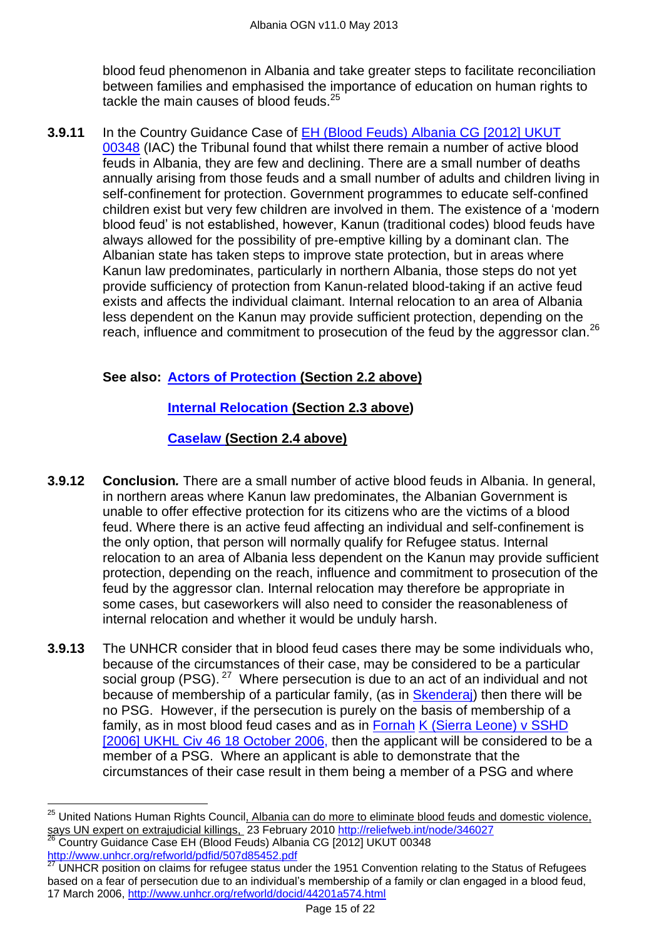blood feud phenomenon in Albania and take greater steps to facilitate reconciliation between families and emphasised the importance of education on human rights to tackle the main causes of blood feuds.<sup>25</sup>

**3.9.11** In the Country Guidance Case of [EH \(Blood Feuds\) Albania CG \[2012\] UKUT](#page-5-1)  [00348](#page-5-1) (IAC) the Tribunal found that whilst there remain a number of active blood feuds in Albania, they are few and declining. There are a small number of deaths annually arising from those feuds and a small number of adults and children living in self-confinement for protection. Government programmes to educate self-confined children exist but very few children are involved in them. The existence of a 'modern blood feud' is not established, however, Kanun (traditional codes) blood feuds have always allowed for the possibility of pre-emptive killing by a dominant clan. The Albanian state has taken steps to improve state protection, but in areas where Kanun law predominates, particularly in northern Albania, those steps do not yet provide sufficiency of protection from Kanun-related blood-taking if an active feud exists and affects the individual claimant. Internal relocation to an area of Albania less dependent on the Kanun may provide sufficient protection, depending on the reach, influence and commitment to prosecution of the feud by the aggressor clan.<sup>26</sup>

# **See also: Actors of Protection (Section 2.2 above)**

# **Internal Relocation (Section 2.3 above)**

# **Caselaw (Section 2.4 above)**

- **3.9.12 Conclusion***.* There are a small number of active blood feuds in Albania. In general, in northern areas where Kanun law predominates, the Albanian Government is unable to offer effective protection for its citizens who are the victims of a blood feud. Where there is an active feud affecting an individual and self-confinement is the only option, that person will normally qualify for Refugee status. Internal relocation to an area of Albania less dependent on the Kanun may provide sufficient protection, depending on the reach, influence and commitment to prosecution of the feud by the aggressor clan. Internal relocation may therefore be appropriate in some cases, but caseworkers will also need to consider the reasonableness of internal relocation and whether it would be unduly harsh.
- **3.9.13** The UNHCR consider that in blood feud cases there may be some individuals who, because of the circumstances of their case, may be considered to be a particular social group (PSG).  $27$  Where persecution is due to an act of an individual and not because of membership of a particular family, (as in [Skenderaj\)](http://www.bailii.org/cgi-bin/markup.cgi?doc=/ew/cases/EWCA/Civ/2002/567.html&query=skenderaj&method=boolean) then there will be no PSG. However, if the persecution is purely on the basis of membership of a family, as in most blood feud cases and as in [Fornah](http://www.bailii.org/cgi-bin/markup.cgi?doc=/ew/cases/EWCA/Civ/2005/680.html&query=Fornah&method=boolean) [K \(Sierra Leone\) v SSHD](http://www.bailii.org/uk/cases/UKHL/2006/46.html)  [2006] UKHL Civ [46 18 October 2006,](http://www.bailii.org/uk/cases/UKHL/2006/46.html) then the applicant will be considered to be a member of a PSG. Where an applicant is able to demonstrate that the circumstances of their case result in them being a member of a PSG and where

<sup>&</sup>lt;sup>25</sup> United Nations Human Rights Council<u>, Albania can do more to eliminate blood feuds and domestic violence,</u> says UN expert on extrajudicial killings, 23 February 2010<http://reliefweb.int/node/346027>

<sup>&</sup>lt;sup>26</sup> Country Guidance Case EH (Blood Feuds) Albania CG [2012] UKUT 00348 <http://www.unhcr.org/refworld/pdfid/507d85452.pdf>

UNHCR position on claims for refugee status under the 1951 Convention relating to the Status of Refugees based on a fear of persecution due to an individual's membership of a family or clan engaged in a blood feud, 17 March 2006, http://www.unhcr.org/refworld/docid/44201a574.html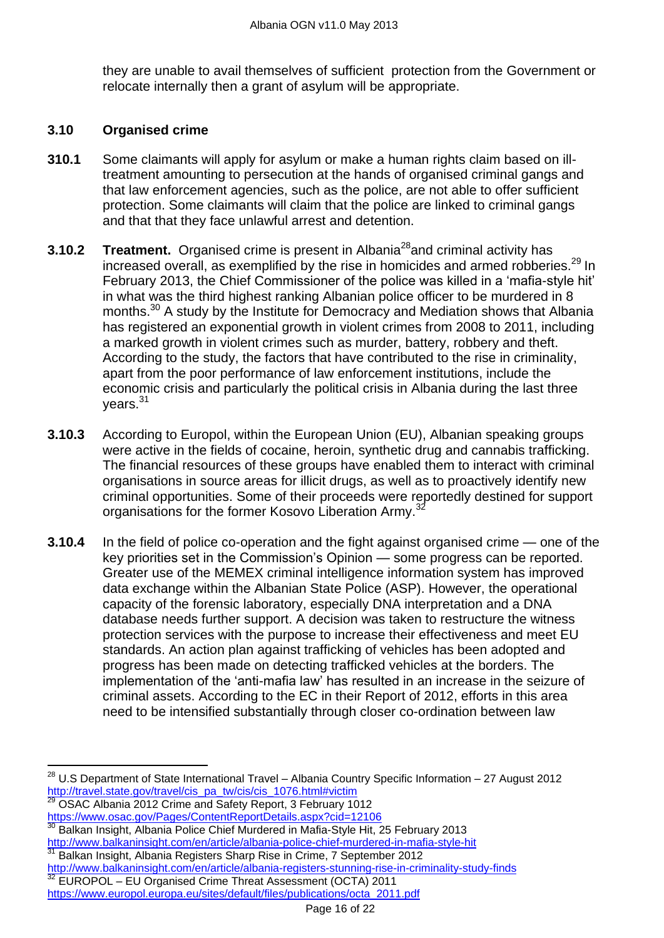they are unable to avail themselves of sufficient protection from the Government or relocate internally then a grant of asylum will be appropriate.

#### <span id="page-15-0"></span>**3.10 Organised crime**

- **310.1** Some claimants will apply for asylum or make a human rights claim based on illtreatment amounting to persecution at the hands of organised criminal gangs and that law enforcement agencies, such as the police, are not able to offer sufficient protection. Some claimants will claim that the police are linked to criminal gangs and that that they face unlawful arrest and detention.
- **3.10.2 Treatment.** Organised crime is present in Albania<sup>28</sup> and criminal activity has increased overall, as exemplified by the rise in homicides and armed robberies.<sup>29</sup> In February 2013, the Chief Commissioner of the police was killed in a 'mafia-style hit' in what was the third highest ranking Albanian police officer to be murdered in 8 months.<sup>30</sup> A study by the Institute for Democracy and Mediation shows that Albania has registered an exponential growth in violent crimes from 2008 to 2011, including a marked growth in violent crimes such as murder, battery, robbery and theft. According to the study, the factors that have contributed to the rise in criminality, apart from the poor performance of law enforcement institutions, include the economic crisis and particularly the political crisis in Albania during the last three vears. $31$
- **3.10.3** According to Europol, within the European Union (EU), Albanian speaking groups were active in the fields of cocaine, heroin, synthetic drug and cannabis trafficking. The financial resources of these groups have enabled them to interact with criminal organisations in source areas for illicit drugs, as well as to proactively identify new criminal opportunities. Some of their proceeds were reportedly destined for support organisations for the former Kosovo Liberation Army.<sup>3</sup>
- **3.10.4** In the field of police co-operation and the fight against organised crime one of the key priorities set in the Commission's Opinion — some progress can be reported. Greater use of the MEMEX criminal intelligence information system has improved data exchange within the Albanian State Police (ASP). However, the operational capacity of the forensic laboratory, especially DNA interpretation and a DNA database needs further support. A decision was taken to restructure the witness protection services with the purpose to increase their effectiveness and meet EU standards. An action plan against trafficking of vehicles has been adopted and progress has been made on detecting trafficked vehicles at the borders. The implementation of the 'anti-mafia law' has resulted in an increase in the seizure of criminal assets. According to the EC in their Report of 2012, efforts in this area need to be intensified substantially through closer co-ordination between law

 $\overline{a}$ 

<sup>31</sup> Balkan Insight, Albania Registers Sharp Rise in Crime, 7 September 2012 <http://www.balkaninsight.com/en/article/albania-registers-stunning-rise-in-criminality-study-finds> <sup>32</sup> EUROPOL – EU Organised Crime Threat Assessment (OCTA) 2011

 $^{28}$  U.S Department of State International Travel – Albania Country Specific Information – 27 August 2012 [http://travel.state.gov/travel/cis\\_pa\\_tw/cis/cis\\_1076.html#victim](http://travel.state.gov/travel/cis_pa_tw/cis/cis_1076.html#victim)

<sup>29</sup> OSAC Albania 2012 Crime and Safety Report, 3 February 1012 <https://www.osac.gov/Pages/ContentReportDetails.aspx?cid=12106>

Balkan Insight, Albania Police Chief Murdered in Mafia-Style Hit, 25 February 2013 <http://www.balkaninsight.com/en/article/albania-police-chief-murdered-in-mafia-style-hit>

[https://www.europol.europa.eu/sites/default/files/publications/octa\\_2011.pdf](https://www.europol.europa.eu/sites/default/files/publications/octa_2011.pdf)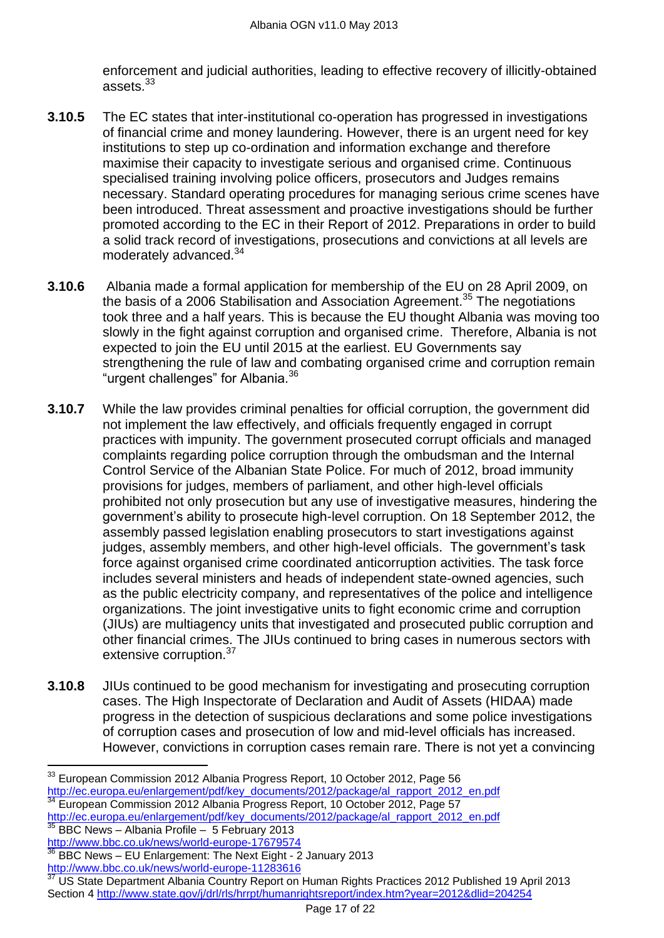enforcement and judicial authorities, leading to effective recovery of illicitly-obtained assets.<sup>33</sup>

- **3.10.5** The EC states that inter-institutional co-operation has progressed in investigations of financial crime and money laundering. However, there is an urgent need for key institutions to step up co-ordination and information exchange and therefore maximise their capacity to investigate serious and organised crime. Continuous specialised training involving police officers, prosecutors and Judges remains necessary. Standard operating procedures for managing serious crime scenes have been introduced. Threat assessment and proactive investigations should be further promoted according to the EC in their Report of 2012. Preparations in order to build a solid track record of investigations, prosecutions and convictions at all levels are moderately advanced.<sup>34</sup>
- **3.10.6** Albania made a formal application for membership of the EU on 28 April 2009, on the basis of a 2006 Stabilisation and Association Agreement.<sup>35</sup> The negotiations took three and a half years. This is because the EU thought Albania was moving too slowly in the fight against corruption and organised crime. Therefore, Albania is not expected to join the EU until 2015 at the earliest. EU Governments say strengthening the rule of law and combating organised crime and corruption remain "urgent challenges" for Albania.<sup>36</sup>
- **3.10.7** While the law provides criminal penalties for official corruption, the government did not implement the law effectively, and officials frequently engaged in corrupt practices with impunity. The government prosecuted corrupt officials and managed complaints regarding police corruption through the ombudsman and the Internal Control Service of the Albanian State Police. For much of 2012, broad immunity provisions for judges, members of parliament, and other high-level officials prohibited not only prosecution but any use of investigative measures, hindering the government's ability to prosecute high-level corruption. On 18 September 2012, the assembly passed legislation enabling prosecutors to start investigations against judges, assembly members, and other high-level officials. The government's task force against organised crime coordinated anticorruption activities. The task force includes several ministers and heads of independent state-owned agencies, such as the public electricity company, and representatives of the police and intelligence organizations. The joint investigative units to fight economic crime and corruption (JIUs) are multiagency units that investigated and prosecuted public corruption and other financial crimes. The JIUs continued to bring cases in numerous sectors with extensive corruption.<sup>37</sup>
- **3.10.8** JIUs continued to be good mechanism for investigating and prosecuting corruption cases. The High Inspectorate of Declaration and Audit of Assets (HIDAA) made progress in the detection of suspicious declarations and some police investigations of corruption cases and prosecution of low and mid-level officials has increased. However, convictions in corruption cases remain rare. There is not yet a convincing

 $^{33}$  European Commission 2012 Albania Progress Report, 10 October 2012, Page 56 [http://ec.europa.eu/enlargement/pdf/key\\_documents/2012/package/al\\_rapport\\_2012\\_en.pdf](http://ec.europa.eu/enlargement/pdf/key_documents/2012/package/al_rapport_2012_en.pdf) <sup>34</sup> European Commission 2012 Albania Progress Report, 10 October 2012, Page 57

[http://ec.europa.eu/enlargement/pdf/key\\_documents/2012/package/al\\_rapport\\_2012\\_en.pdf](http://ec.europa.eu/enlargement/pdf/key_documents/2012/package/al_rapport_2012_en.pdf) <sup>35</sup> BBC News – Albania Profile – 5 February 2013 <http://www.bbc.co.uk/news/world-europe-17679574>

<sup>36</sup> BBC News – EU Enlargement: The Next Eight - 2 January 2013 <http://www.bbc.co.uk/news/world-europe-11283616>

US State Department Albania Country Report on Human Rights Practices 2012 Published 19 April 2013 Section 4<http://www.state.gov/j/drl/rls/hrrpt/humanrightsreport/index.htm?year=2012&dlid=204254>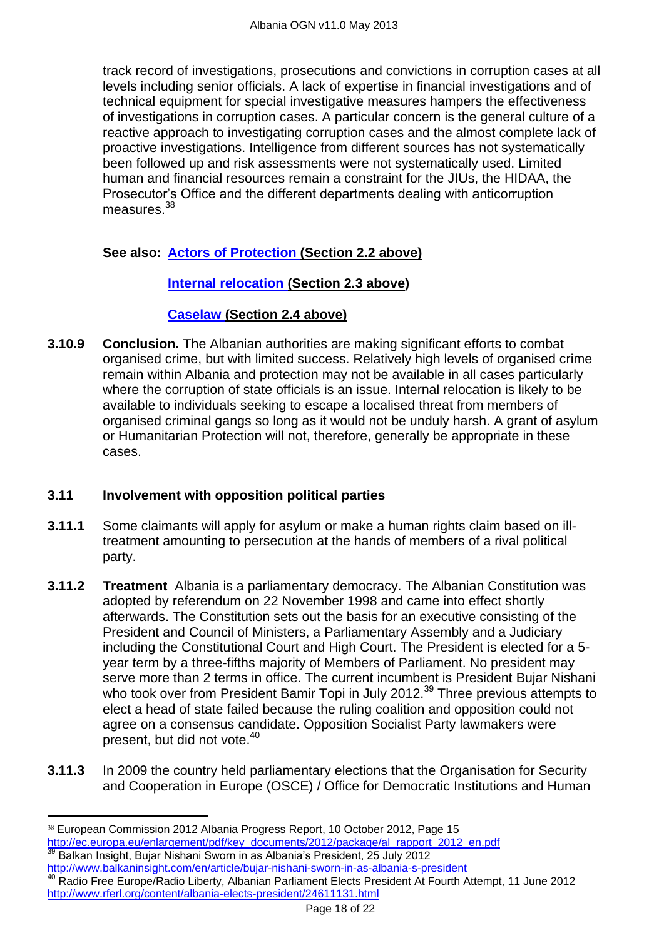track record of investigations, prosecutions and convictions in corruption cases at all levels including senior officials. A lack of expertise in financial investigations and of technical equipment for special investigative measures hampers the effectiveness of investigations in corruption cases. A particular concern is the general culture of a reactive approach to investigating corruption cases and the almost complete lack of proactive investigations. Intelligence from different sources has not systematically been followed up and risk assessments were not systematically used. Limited human and financial resources remain a constraint for the JIUs, the HIDAA, the Prosecutor's Office and the different departments dealing with anticorruption measures.<sup>38</sup>

# **See also: Actors of Protection (Section 2.2 above)**

# **Internal relocation (Section 2.3 above)**

### **Caselaw (Section 2.4 above)**

**3.10.9 Conclusion***.* The Albanian authorities are making significant efforts to combat organised crime, but with limited success. Relatively high levels of organised crime remain within Albania and protection may not be available in all cases particularly where the corruption of state officials is an issue. Internal relocation is likely to be available to individuals seeking to escape a localised threat from members of organised criminal gangs so long as it would not be unduly harsh. A grant of asylum or Humanitarian Protection will not, therefore, generally be appropriate in these cases.

# <span id="page-17-0"></span>**3.11 Involvement with opposition political parties**

- **3.11.1** Some claimants will apply for asylum or make a human rights claim based on illtreatment amounting to persecution at the hands of members of a rival political party.
- **3.11.2 Treatment** Albania is a parliamentary democracy. The Albanian Constitution was adopted by referendum on 22 November 1998 and came into effect shortly afterwards. The Constitution sets out the basis for an executive consisting of the President and Council of Ministers, a Parliamentary Assembly and a Judiciary including the Constitutional Court and High Court. The President is elected for a 5 year term by a three-fifths majority of Members of Parliament. No president may serve more than 2 terms in office. The current incumbent is President Bujar Nishani who took over from President Bamir Topi in July 2012.<sup>39</sup> Three previous attempts to elect a head of state failed because the ruling coalition and opposition could not agree on a consensus candidate. Opposition Socialist Party lawmakers were present, but did not vote.<sup>40</sup>
- **3.11.3** In 2009 the country held parliamentary elections that the Organisation for Security and Cooperation in Europe (OSCE) / Office for Democratic Institutions and Human

<sup>38</sup> European Commission 2012 Albania Progress Report, 10 October 2012, Page 15 [http://ec.europa.eu/enlargement/pdf/key\\_documents/2012/package/al\\_rapport\\_2012\\_en.pdf](http://ec.europa.eu/enlargement/pdf/key_documents/2012/package/al_rapport_2012_en.pdf) <sup>39</sup> Balkan Insight, Bujar Nishani Sworn in as Albania's President, 25 July 2012

<http://www.balkaninsight.com/en/article/bujar-nishani-sworn-in-as-albania-s-president> <sup>40</sup> Radio Free Europe/Radio Liberty, Albanian Parliament Elects President At Fourth Attempt, 11 June 2012 <http://www.rferl.org/content/albania-elects-president/24611131.html>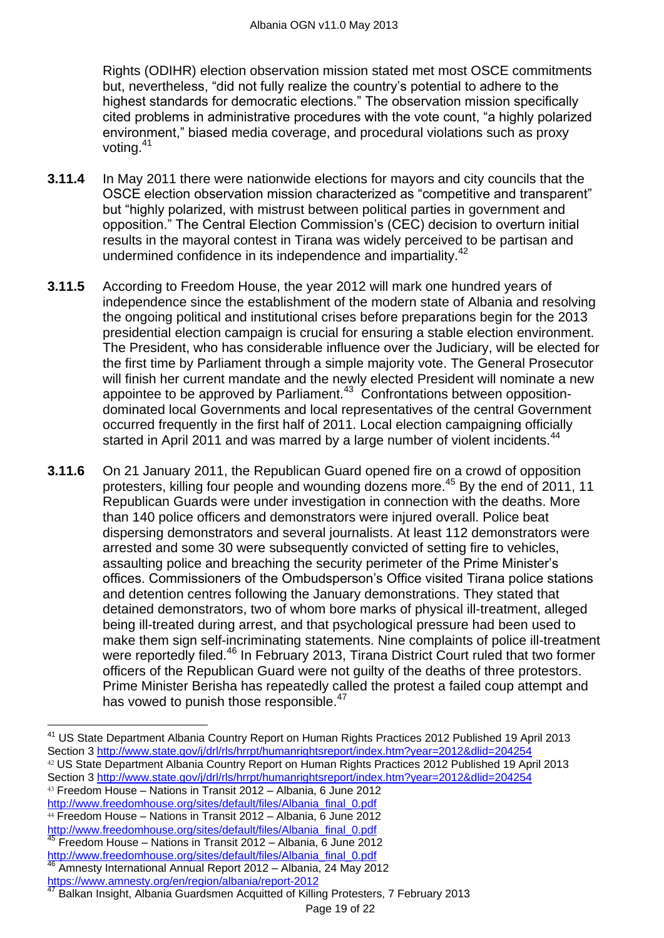Rights (ODIHR) election observation mission stated met most OSCE commitments but, nevertheless, "did not fully realize the country's potential to adhere to the highest standards for democratic elections." The observation mission specifically cited problems in administrative procedures with the vote count, "a highly polarized environment," biased media coverage, and procedural violations such as proxy voting.<sup>41</sup>

- **3.11.4** In May 2011 there were nationwide elections for mayors and city councils that the OSCE election observation mission characterized as "competitive and transparent" but "highly polarized, with mistrust between political parties in government and opposition.‖ The Central Election Commission's (CEC) decision to overturn initial results in the mayoral contest in Tirana was widely perceived to be partisan and undermined confidence in its independence and impartiality.<sup>42</sup>
- **3.11.5** According to Freedom House, the year 2012 will mark one hundred years of independence since the establishment of the modern state of Albania and resolving the ongoing political and institutional crises before preparations begin for the 2013 presidential election campaign is crucial for ensuring a stable election environment. The President, who has considerable influence over the Judiciary, will be elected for the first time by Parliament through a simple majority vote. The General Prosecutor will finish her current mandate and the newly elected President will nominate a new appointee to be approved by Parliament. $43$  Confrontations between oppositiondominated local Governments and local representatives of the central Government occurred frequently in the first half of 2011. Local election campaigning officially started in April 2011 and was marred by a large number of violent incidents.<sup>44</sup>
- **3.11.6** On 21 January 2011, the Republican Guard opened fire on a crowd of opposition protesters, killing four people and wounding dozens more.<sup>45</sup> By the end of 2011, 11 Republican Guards were under investigation in connection with the deaths. More than 140 police officers and demonstrators were injured overall. Police beat dispersing demonstrators and several journalists. At least 112 demonstrators were arrested and some 30 were subsequently convicted of setting fire to vehicles, assaulting police and breaching the security perimeter of the Prime Minister's offices. Commissioners of the Ombudsperson's Office visited Tirana police stations and detention centres following the January demonstrations. They stated that detained demonstrators, two of whom bore marks of physical ill-treatment, alleged being ill-treated during arrest, and that psychological pressure had been used to make them sign self-incriminating statements. Nine complaints of police ill-treatment were reportedly filed.<sup>46</sup> In February 2013, Tirana District Court ruled that two former officers of the Republican Guard were not guilty of the deaths of three protestors. Prime Minister Berisha has repeatedly called the protest a failed coup attempt and has vowed to punish those responsible.<sup>47</sup>

[http://www.freedomhouse.org/sites/default/files/Albania\\_final\\_0.pdf](http://www.freedomhouse.org/sites/default/files/Albania_final_0.pdf) <sup>44</sup> Freedom House – Nations in Transit 2012 – Albania, 6 June 2012 [http://www.freedomhouse.org/sites/default/files/Albania\\_final\\_0.pdf](http://www.freedomhouse.org/sites/default/files/Albania_final_0.pdf)

 $\overline{a}$ 

<sup>45</sup> Freedom House – Nations in Transit 2012 – Albania, 6 June 2012 [http://www.freedomhouse.org/sites/default/files/Albania\\_final\\_0.pdf](http://www.freedomhouse.org/sites/default/files/Albania_final_0.pdf)

<sup>&</sup>lt;sup>41</sup> US State Department Albania Country Report on Human Rights Practices 2012 Published 19 April 2013 Section 3<http://www.state.gov/j/drl/rls/hrrpt/humanrightsreport/index.htm?year=2012&dlid=204254> <sup>42</sup> US State Department Albania Country Report on Human Rights Practices 2012 Published 19 April 2013 Section 3<http://www.state.gov/j/drl/rls/hrrpt/humanrightsreport/index.htm?year=2012&dlid=204254> <sup>43</sup> Freedom House – Nations in Transit 2012 – Albania, 6 June 2012

<sup>46</sup> Amnesty International Annual Report 2012 – Albania, 24 May 2012 <https://www.amnesty.org/en/region/albania/report-2012>

<sup>47</sup> Balkan Insight, Albania Guardsmen Acquitted of Killing Protesters, 7 February 2013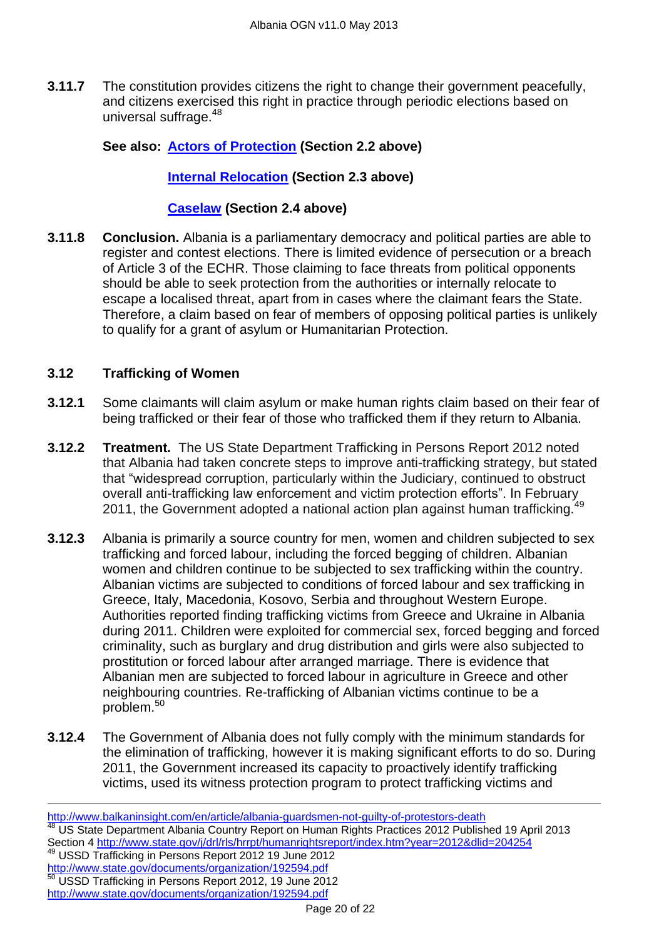**3.11.7** The constitution provides citizens the right to change their government peacefully, and citizens exercised this right in practice through periodic elections based on universal suffrage.<sup>48</sup>

## **See also: Actors of Protection (Section 2.2 above)**

### **Internal Relocation (Section 2.3 above)**

### **Caselaw (Section 2.4 above)**

**3.11.8 Conclusion.** Albania is a parliamentary democracy and political parties are able to register and contest elections. There is limited evidence of persecution or a breach of Article 3 of the ECHR. Those claiming to face threats from political opponents should be able to seek protection from the authorities or internally relocate to escape a localised threat, apart from in cases where the claimant fears the State. Therefore, a claim based on fear of members of opposing political parties is unlikely to qualify for a grant of asylum or Humanitarian Protection.

### <span id="page-19-0"></span>**3.12 Trafficking of Women**

- **3.12.1** Some claimants will claim asylum or make human rights claim based on their fear of being trafficked or their fear of those who trafficked them if they return to Albania.
- **3.12.2 Treatment***.* The US State Department Trafficking in Persons Report 2012 noted that Albania had taken concrete steps to improve anti-trafficking strategy, but stated that "widespread corruption, particularly within the Judiciary, continued to obstruct overall anti-trafficking law enforcement and victim protection efforts". In February<br>overall anti-trafficking law enforcement and victim protection efforts". In February 2011, the Government adopted a national action plan against human trafficking.
- **3.12.3** Albania is primarily a source country for men, women and children subjected to sex trafficking and forced labour, including the forced begging of children. Albanian women and children continue to be subjected to sex trafficking within the country. Albanian victims are subjected to conditions of forced labour and sex trafficking in Greece, Italy, Macedonia, Kosovo, Serbia and throughout Western Europe. Authorities reported finding trafficking victims from Greece and Ukraine in Albania during 2011. Children were exploited for commercial sex, forced begging and forced criminality, such as burglary and drug distribution and girls were also subjected to prostitution or forced labour after arranged marriage. There is evidence that Albanian men are subjected to forced labour in agriculture in Greece and other neighbouring countries. Re-trafficking of Albanian victims continue to be a problem.<sup>50</sup>
- **3.12.4** The Government of Albania does not fully comply with the minimum standards for the elimination of trafficking, however it is making significant efforts to do so. During 2011, the Government increased its capacity to proactively identify trafficking victims, used its witness protection program to protect trafficking victims and

 $\overline{a}$ <http://www.balkaninsight.com/en/article/albania-guardsmen-not-guilty-of-protestors-death> <sup>48</sup> US State Department Albania Country Report on Human Rights Practices 2012 Published 19 April 2013 Section 4<http://www.state.gov/j/drl/rls/hrrpt/humanrightsreport/index.htm?year=2012&dlid=204254> <sup>49</sup> USSD Trafficking in Persons Report 2012 19 June 2012 <http://www.state.gov/documents/organization/192594.pdf> <sup>50</sup> USSD Trafficking in Persons Report 2012, 19 June 2012 <http://www.state.gov/documents/organization/192594.pdf>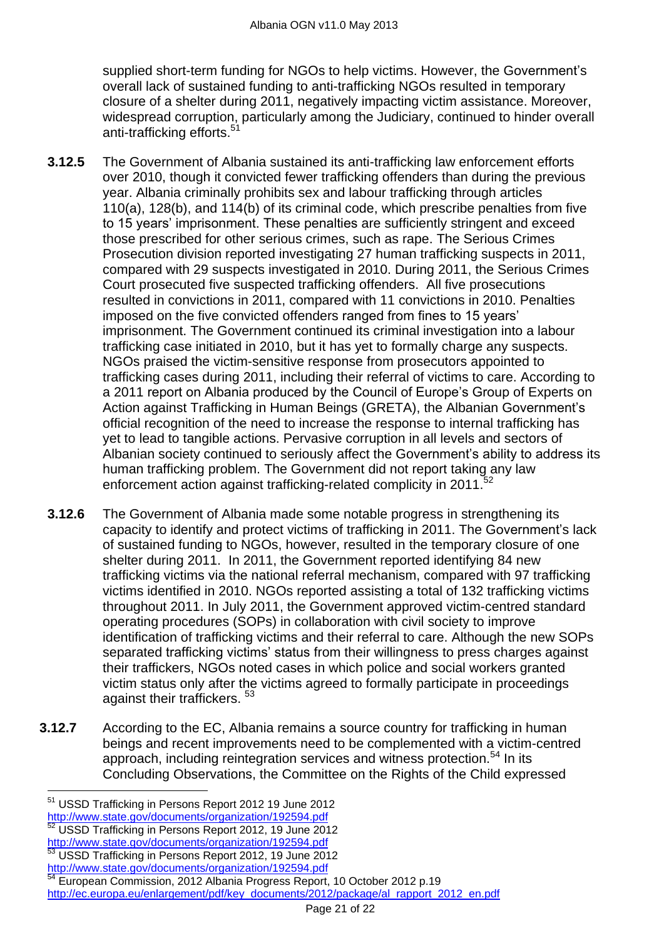supplied short-term funding for NGOs to help victims. However, the Government's overall lack of sustained funding to anti-trafficking NGOs resulted in temporary closure of a shelter during 2011, negatively impacting victim assistance. Moreover, widespread corruption, particularly among the Judiciary, continued to hinder overall anti-trafficking efforts.<sup>51</sup>

- **3.12.5** The Government of Albania sustained its anti-trafficking law enforcement efforts over 2010, though it convicted fewer trafficking offenders than during the previous year. Albania criminally prohibits sex and labour trafficking through articles 110(a), 128(b), and 114(b) of its criminal code, which prescribe penalties from five to 15 years' imprisonment. These penalties are sufficiently stringent and exceed those prescribed for other serious crimes, such as rape. The Serious Crimes Prosecution division reported investigating 27 human trafficking suspects in 2011, compared with 29 suspects investigated in 2010. During 2011, the Serious Crimes Court prosecuted five suspected trafficking offenders. All five prosecutions resulted in convictions in 2011, compared with 11 convictions in 2010. Penalties imposed on the five convicted offenders ranged from fines to 15 years' imprisonment. The Government continued its criminal investigation into a labour trafficking case initiated in 2010, but it has yet to formally charge any suspects. NGOs praised the victim-sensitive response from prosecutors appointed to trafficking cases during 2011, including their referral of victims to care. According to a 2011 report on Albania produced by the Council of Europe's Group of Experts on Action against Trafficking in Human Beings (GRETA), the Albanian Government's official recognition of the need to increase the response to internal trafficking has yet to lead to tangible actions. Pervasive corruption in all levels and sectors of Albanian society continued to seriously affect the Government's ability to address its human trafficking problem. The Government did not report taking any law enforcement action against trafficking-related complicity in 2011.<sup>57</sup>
- **3.12.6** The Government of Albania made some notable progress in strengthening its capacity to identify and protect victims of trafficking in 2011. The Government's lack of sustained funding to NGOs, however, resulted in the temporary closure of one shelter during 2011. In 2011, the Government reported identifying 84 new trafficking victims via the national referral mechanism, compared with 97 trafficking victims identified in 2010. NGOs reported assisting a total of 132 trafficking victims throughout 2011. In July 2011, the Government approved victim-centred standard operating procedures (SOPs) in collaboration with civil society to improve identification of trafficking victims and their referral to care. Although the new SOPs separated trafficking victims' status from their willingness to press charges against their traffickers, NGOs noted cases in which police and social workers granted victim status only after the victims agreed to formally participate in proceedings against their traffickers. <sup>53</sup>
- **3.12.7** According to the EC, Albania remains a source country for trafficking in human beings and recent improvements need to be complemented with a victim-centred approach, including reintegration services and witness protection.<sup>54</sup> In its Concluding Observations, the Committee on the Rights of the Child expressed

<http://www.state.gov/documents/organization/192594.pdf>

<http://www.state.gov/documents/organization/192594.pdf>

 $\overline{a}$ <sup>51</sup> USSD Trafficking in Persons Report 2012 19 June 2012

USSD Trafficking in Persons Report 2012, 19 June 2012

<sup>53</sup> USSD Trafficking in Persons Report 2012, 19 June 2012

<http://www.state.gov/documents/organization/192594.pdf>

<sup>54</sup> European Commission, 2012 Albania Progress Report, 10 October 2012 p.19 [http://ec.europa.eu/enlargement/pdf/key\\_documents/2012/package/al\\_rapport\\_2012\\_en.pdf](http://ec.europa.eu/enlargement/pdf/key_documents/2012/package/al_rapport_2012_en.pdf)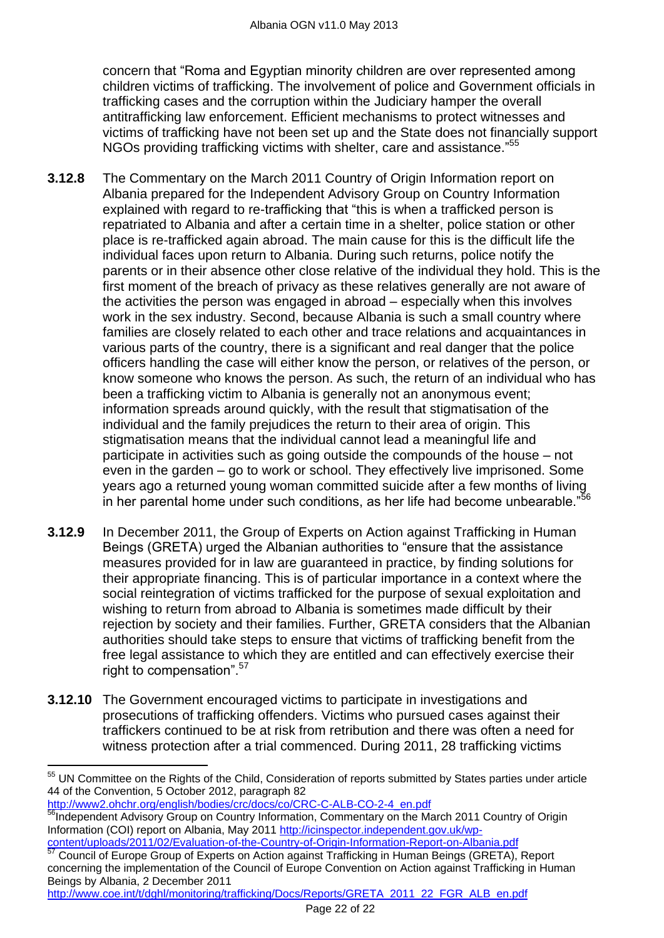concern that "Roma and Egyptian minority children are over represented among children victims of trafficking. The involvement of police and Government officials in trafficking cases and the corruption within the Judiciary hamper the overall antitrafficking law enforcement. Efficient mechanisms to protect witnesses and victims of trafficking have not been set up and the State does not financially support NGOs providing trafficking victims with shelter, care and assistance."<sup>55</sup>

- **3.12.8** The Commentary on the March 2011 Country of Origin Information report on Albania prepared for the Independent Advisory Group on Country Information explained with regard to re-trafficking that "this is when a trafficked person is repatriated to Albania and after a certain time in a shelter, police station or other place is re-trafficked again abroad. The main cause for this is the difficult life the individual faces upon return to Albania. During such returns, police notify the parents or in their absence other close relative of the individual they hold. This is the first moment of the breach of privacy as these relatives generally are not aware of the activities the person was engaged in abroad – especially when this involves work in the sex industry. Second, because Albania is such a small country where families are closely related to each other and trace relations and acquaintances in various parts of the country, there is a significant and real danger that the police officers handling the case will either know the person, or relatives of the person, or know someone who knows the person. As such, the return of an individual who has been a trafficking victim to Albania is generally not an anonymous event; information spreads around quickly, with the result that stigmatisation of the individual and the family prejudices the return to their area of origin. This stigmatisation means that the individual cannot lead a meaningful life and participate in activities such as going outside the compounds of the house – not even in the garden – go to work or school. They effectively live imprisoned. Some years ago a returned young woman committed suicide after a few months of living in her parental home under such conditions, as her life had become unbearable."
- **3.12.9** In December 2011, the Group of Experts on Action against Trafficking in Human Beings (GRETA) urged the Albanian authorities to "ensure that the assistance measures provided for in law are guaranteed in practice, by finding solutions for their appropriate financing. This is of particular importance in a context where the social reintegration of victims trafficked for the purpose of sexual exploitation and wishing to return from abroad to Albania is sometimes made difficult by their rejection by society and their families. Further, GRETA considers that the Albanian authorities should take steps to ensure that victims of trafficking benefit from the free legal assistance to which they are entitled and can effectively exercise their right to compensation".<sup>57</sup>
- **3.12.10** The Government encouraged victims to participate in investigations and prosecutions of trafficking offenders. Victims who pursued cases against their traffickers continued to be at risk from retribution and there was often a need for witness protection after a trial commenced. During 2011, 28 trafficking victims

[http://www2.ohchr.org/english/bodies/crc/docs/co/CRC-C-ALB-CO-2-4\\_en.pdf](http://www2.ohchr.org/english/bodies/crc/docs/co/CRC-C-ALB-CO-2-4_en.pdf)

 $\overline{a}$ 

[http://www.coe.int/t/dghl/monitoring/trafficking/Docs/Reports/GRETA\\_2011\\_22\\_FGR\\_ALB\\_en.pdf](http://www.coe.int/t/dghl/monitoring/trafficking/Docs/Reports/GRETA_2011_22_FGR_ALB_en.pdf)

<sup>&</sup>lt;sup>55</sup> UN Committee on the Rights of the Child, Consideration of reports submitted by States parties under article 44 of the Convention, 5 October 2012, paragraph 82

<sup>56</sup>Independent Advisory Group on Country Information, Commentary on the March 2011 Country of Origin Information (COI) report on Albania, May 2011 [http://icinspector.independent.gov.uk/wp](http://icinspector.independent.gov.uk/wp-content/uploads/2011/02/Evaluation-of-the-Country-of-Origin-Information-Report-on-Albania.pdf)[content/uploads/2011/02/Evaluation-of-the-Country-of-Origin-Information-Report-on-Albania.pdf](http://icinspector.independent.gov.uk/wp-content/uploads/2011/02/Evaluation-of-the-Country-of-Origin-Information-Report-on-Albania.pdf)

<sup>57</sup> Council of Europe Group of Experts on Action against Trafficking in Human Beings (GRETA), Report concerning the implementation of the Council of Europe Convention on Action against Trafficking in Human Beings by Albania, 2 December 2011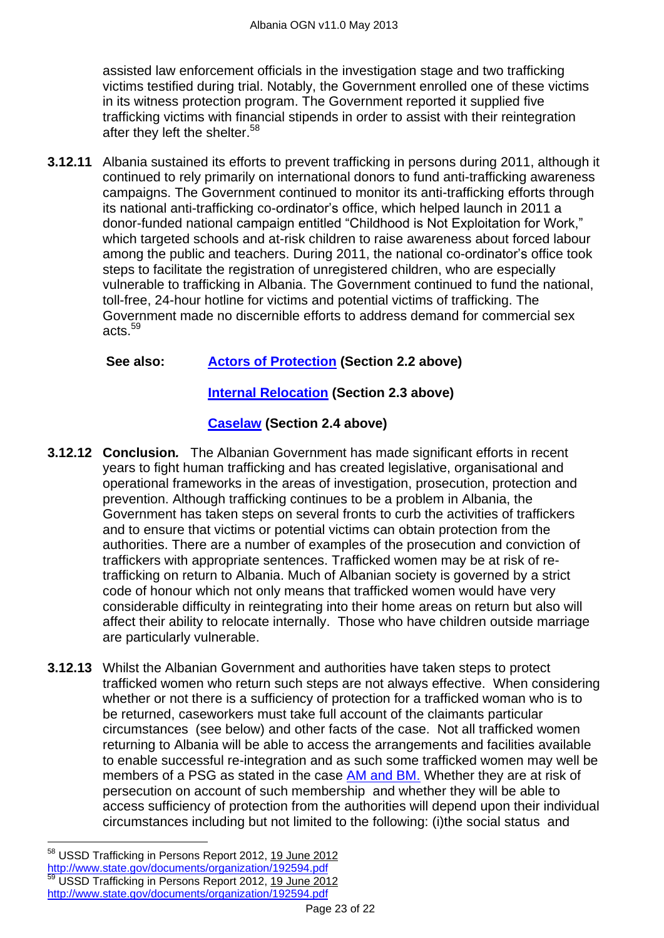assisted law enforcement officials in the investigation stage and two trafficking victims testified during trial. Notably, the Government enrolled one of these victims in its witness protection program. The Government reported it supplied five trafficking victims with financial stipends in order to assist with their reintegration after they left the shelter.<sup>58</sup>

**3.12.11** Albania sustained its efforts to prevent trafficking in persons during 2011, although it continued to rely primarily on international donors to fund anti-trafficking awareness campaigns. The Government continued to monitor its anti-trafficking efforts through its national anti-trafficking co-ordinator's office, which helped launch in 2011 a donor-funded national campaign entitled "Childhood is Not Exploitation for Work," which targeted schools and at-risk children to raise awareness about forced labour among the public and teachers. During 2011, the national co-ordinator's office took steps to facilitate the registration of unregistered children, who are especially vulnerable to trafficking in Albania. The Government continued to fund the national, toll-free, 24-hour hotline for victims and potential victims of trafficking. The Government made no discernible efforts to address demand for commercial sex acts.<sup>59</sup>

### **See also: Actors of Protection (Section 2.2 above)**

### **Internal Relocation (Section 2.3 above)**

# **Caselaw (Section 2.4 above)**

- **3.12.12 Conclusion***.* The Albanian Government has made significant efforts in recent years to fight human trafficking and has created legislative, organisational and operational frameworks in the areas of investigation, prosecution, protection and prevention. Although trafficking continues to be a problem in Albania, the Government has taken steps on several fronts to curb the activities of traffickers and to ensure that victims or potential victims can obtain protection from the authorities. There are a number of examples of the prosecution and conviction of traffickers with appropriate sentences. Trafficked women may be at risk of retrafficking on return to Albania. Much of Albanian society is governed by a strict code of honour which not only means that trafficked women would have very considerable difficulty in reintegrating into their home areas on return but also will affect their ability to relocate internally. Those who have children outside marriage are particularly vulnerable.
- **3.12.13** Whilst the Albanian Government and authorities have taken steps to protect trafficked women who return such steps are not always effective. When considering whether or not there is a sufficiency of protection for a trafficked woman who is to be returned, caseworkers must take full account of the claimants particular circumstances (see below) and other facts of the case. Not all trafficked women returning to Albania will be able to access the arrangements and facilities available to enable successful re-integration and as such some trafficked women may well be members of a PSG as stated in the case [AM and BM.](http://www.bailii.org/uk/cases/UKUT/IAC/2010/00080_ukut_iac_2010_am_bm_albania_cg.html) Whether they are at risk of persecution on account of such membership and whether they will be able to access sufficiency of protection from the authorities will depend upon their individual circumstances including but not limited to the following: (i)the social status and

<sup>58</sup> USSD Trafficking in Persons Report 2012, 19 June 2012 <http://www.state.gov/documents/organization/192594.pdf> USSD Trafficking in Persons Report 2012, 19 June 2012 <http://www.state.gov/documents/organization/192594.pdf>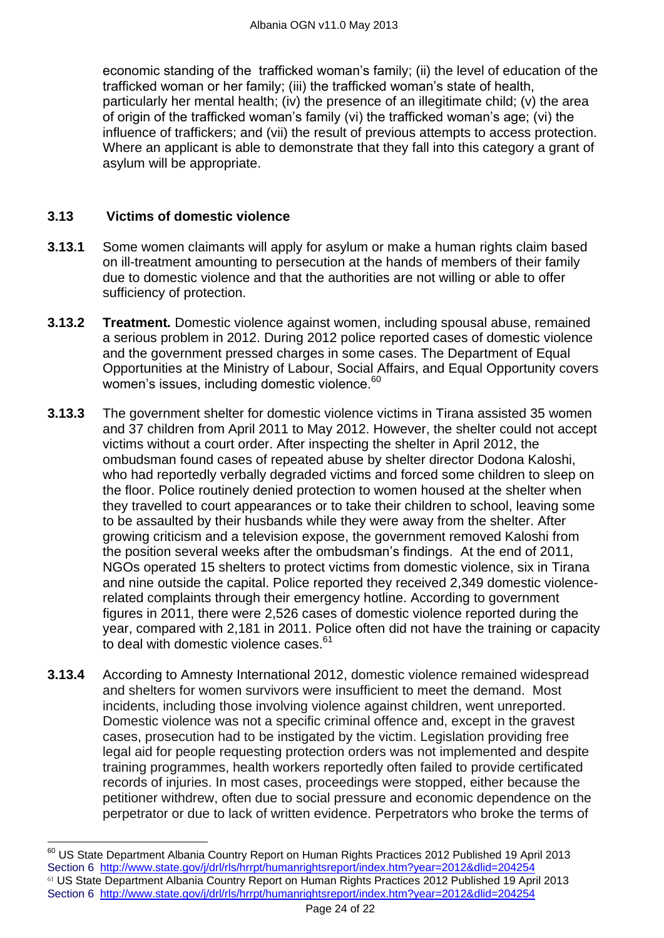economic standing of the trafficked woman's family; (ii) the level of education of the trafficked woman or her family; (iii) the trafficked woman's state of health, particularly her mental health; (iv) the presence of an illegitimate child; (v) the area of origin of the trafficked woman's family (vi) the trafficked woman's age; (vi) the influence of traffickers; and (vii) the result of previous attempts to access protection. Where an applicant is able to demonstrate that they fall into this category a grant of asylum will be appropriate.

## <span id="page-23-0"></span>**3.13 Victims of domestic violence**

- **3.13.1** Some women claimants will apply for asylum or make a human rights claim based on ill-treatment amounting to persecution at the hands of members of their family due to domestic violence and that the authorities are not willing or able to offer sufficiency of protection.
- **3.13.2 Treatment***.* Domestic violence against women, including spousal abuse, remained a serious problem in 2012. During 2012 police reported cases of domestic violence and the government pressed charges in some cases. The Department of Equal Opportunities at the Ministry of Labour, Social Affairs, and Equal Opportunity covers women's issues, including domestic violence.<sup>60</sup>
- **3.13.3** The government shelter for domestic violence victims in Tirana assisted 35 women and 37 children from April 2011 to May 2012. However, the shelter could not accept victims without a court order. After inspecting the shelter in April 2012, the ombudsman found cases of repeated abuse by shelter director Dodona Kaloshi, who had reportedly verbally degraded victims and forced some children to sleep on the floor. Police routinely denied protection to women housed at the shelter when they travelled to court appearances or to take their children to school, leaving some to be assaulted by their husbands while they were away from the shelter. After growing criticism and a television expose, the government removed Kaloshi from the position several weeks after the ombudsman's findings. At the end of 2011, NGOs operated 15 shelters to protect victims from domestic violence, six in Tirana and nine outside the capital. Police reported they received 2,349 domestic violencerelated complaints through their emergency hotline. According to government figures in 2011, there were 2,526 cases of domestic violence reported during the year, compared with 2,181 in 2011. Police often did not have the training or capacity to deal with domestic violence cases.<sup>61</sup>
- **3.13.4** According to Amnesty International 2012, domestic violence remained widespread and shelters for women survivors were insufficient to meet the demand. Most incidents, including those involving violence against children, went unreported. Domestic violence was not a specific criminal offence and, except in the gravest cases, prosecution had to be instigated by the victim. Legislation providing free legal aid for people requesting protection orders was not implemented and despite training programmes, health workers reportedly often failed to provide certificated records of injuries. In most cases, proceedings were stopped, either because the petitioner withdrew, often due to social pressure and economic dependence on the perpetrator or due to lack of written evidence. Perpetrators who broke the terms of

 $^{60}$  US State Department Albania Country Report on Human Rights Practices 2012 Published 19 April 2013 Section 6 <http://www.state.gov/j/drl/rls/hrrpt/humanrightsreport/index.htm?year=2012&dlid=204254> <sup>61</sup> US State Department Albania Country Report on Human Rights Practices 2012 Published 19 April 2013 Section 6 <http://www.state.gov/j/drl/rls/hrrpt/humanrightsreport/index.htm?year=2012&dlid=204254>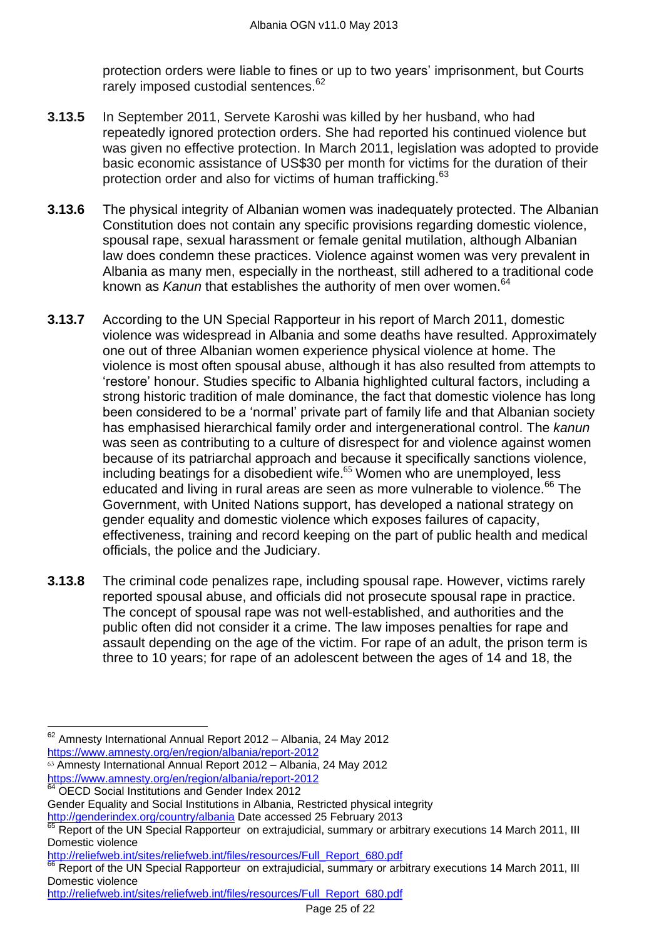protection orders were liable to fines or up to two years' imprisonment, but Courts rarely imposed custodial sentences.<sup>62</sup>

- **3.13.5** In September 2011, Servete Karoshi was killed by her husband, who had repeatedly ignored protection orders. She had reported his continued violence but was given no effective protection. In March 2011, legislation was adopted to provide basic economic assistance of US\$30 per month for victims for the duration of their protection order and also for victims of human trafficking.<sup>63</sup>
- **3.13.6** The physical integrity of Albanian women was inadequately protected. The Albanian Constitution does not contain any specific provisions regarding domestic violence, spousal rape, sexual harassment or female genital mutilation, although Albanian law does condemn these practices. Violence against women was very prevalent in Albania as many men, especially in the northeast, still adhered to a traditional code known as *Kanun* that establishes the authority of men over women.<sup>64</sup>
- **3.13.7** According to the UN Special Rapporteur in his report of March 2011, domestic violence was widespread in Albania and some deaths have resulted. Approximately one out of three Albanian women experience physical violence at home. The violence is most often spousal abuse, although it has also resulted from attempts to ‗restore' honour. Studies specific to Albania highlighted cultural factors, including a strong historic tradition of male dominance, the fact that domestic violence has long been considered to be a 'normal' private part of family life and that Albanian society has emphasised hierarchical family order and intergenerational control. The *kanun*  was seen as contributing to a culture of disrespect for and violence against women because of its patriarchal approach and because it specifically sanctions violence, including beatings for a disobedient wife. <sup>65</sup> Women who are unemployed, less educated and living in rural areas are seen as more vulnerable to violence.<sup>66</sup> The Government, with United Nations support, has developed a national strategy on gender equality and domestic violence which exposes failures of capacity, effectiveness, training and record keeping on the part of public health and medical officials, the police and the Judiciary.
- **3.13.8** The criminal code penalizes rape, including spousal rape. However, victims rarely reported spousal abuse, and officials did not prosecute spousal rape in practice. The concept of spousal rape was not well-established, and authorities and the public often did not consider it a crime. The law imposes penalties for rape and assault depending on the age of the victim. For rape of an adult, the prison term is three to 10 years; for rape of an adolescent between the ages of 14 and 18, the

<sup>63</sup> Amnesty International Annual Report 2012 – Albania, 24 May 2012 <https://www.amnesty.org/en/region/albania/report-2012>

 $62$  Amnesty International Annual Report 2012 – Albania, 24 May 2012 <https://www.amnesty.org/en/region/albania/report-2012>

**OECD Social Institutions and Gender Index 2012** 

Gender Equality and Social Institutions in Albania, Restricted physical integrity <http://genderindex.org/country/albania> Date accessed 25 February 2013

Report of the UN Special Rapporteur on extrajudicial, summary or arbitrary executions 14 March 2011, III Domestic violence

[http://reliefweb.int/sites/reliefweb.int/files/resources/Full\\_Report\\_680.pdf](http://reliefweb.int/sites/reliefweb.int/files/resources/Full_Report_680.pdf)

Report of the UN Special Rapporteur on extrajudicial, summary or arbitrary executions 14 March 2011, III Domestic violence

[http://reliefweb.int/sites/reliefweb.int/files/resources/Full\\_Report\\_680.pdf](http://reliefweb.int/sites/reliefweb.int/files/resources/Full_Report_680.pdf)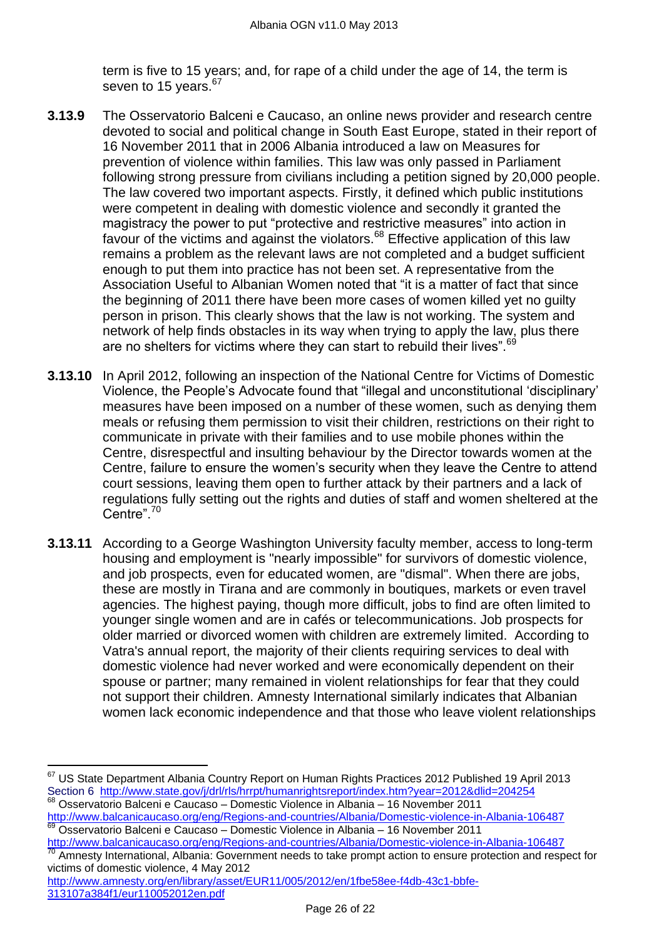term is five to 15 years; and, for rape of a child under the age of 14, the term is seven to 15 years.<sup>67</sup>

- **3.13.9** The Osservatorio Balceni e Caucaso, an online news provider and research centre devoted to social and political change in South East Europe, stated in their report of 16 November 2011 that in 2006 Albania introduced a law on Measures for prevention of violence within families. This law was only passed in Parliament following strong pressure from civilians including a petition signed by 20,000 people. The law covered two important aspects. Firstly, it defined which public institutions were competent in dealing with domestic violence and secondly it granted the magistracy the power to put "protective and restrictive measures" into action in favour of the victims and against the violators.<sup>68</sup> Effective application of this law remains a problem as the relevant laws are not completed and a budget sufficient enough to put them into practice has not been set. A representative from the Association Useful to Albanian Women noted that "it is a matter of fact that since the beginning of 2011 there have been more cases of women killed yet no guilty person in prison. This clearly shows that the law is not working. The system and network of help finds obstacles in its way when trying to apply the law, plus there are no shelters for victims where they can start to rebuild their lives".<sup>69</sup>
- **3.13.10** In April 2012, following an inspection of the National Centre for Victims of Domestic Violence, the People's Advocate found that "illegal and unconstitutional 'disciplinary' measures have been imposed on a number of these women, such as denying them meals or refusing them permission to visit their children, restrictions on their right to communicate in private with their families and to use mobile phones within the Centre, disrespectful and insulting behaviour by the Director towards women at the Centre, failure to ensure the women's security when they leave the Centre to attend court sessions, leaving them open to further attack by their partners and a lack of regulations fully setting out the rights and duties of staff and women sheltered at the Centre". $70$
- **3.13.11** According to a George Washington University faculty member, access to long-term housing and employment is "nearly impossible" for survivors of domestic violence, and job prospects, even for educated women, are "dismal". When there are jobs, these are mostly in Tirana and are commonly in boutiques, markets or even travel agencies. The highest paying, though more difficult, jobs to find are often limited to younger single women and are in cafés or telecommunications. Job prospects for older married or divorced women with children are extremely limited. According to Vatra's annual report, the majority of their clients requiring services to deal with domestic violence had never worked and were economically dependent on their spouse or partner; many remained in violent relationships for fear that they could not support their children. Amnesty International similarly indicates that Albanian women lack economic independence and that those who leave violent relationships

 $67$  US State Department Albania Country Report on Human Rights Practices 2012 Published 19 April 2013 Section 6 <http://www.state.gov/j/drl/rls/hrrpt/humanrightsreport/index.htm?year=2012&dlid=204254> <sup>68</sup> Osservatorio Balceni e Caucaso – Domestic Violence in Albania – 16 November 2011

<http://www.balcanicaucaso.org/eng/Regions-and-countries/Albania/Domestic-violence-in-Albania-106487> <sup>69</sup> Osservatorio Balceni e Caucaso – Domestic Violence in Albania – 16 November 2011

<http://www.balcanicaucaso.org/eng/Regions-and-countries/Albania/Domestic-violence-in-Albania-106487> Amnesty International, Albania: Government needs to take prompt action to ensure protection and respect for victims of domestic violence, 4 May 2012

[http://www.amnesty.org/en/library/asset/EUR11/005/2012/en/1fbe58ee-f4db-43c1-bbfe-](http://www.amnesty.org/en/library/asset/EUR11/005/2012/en/1fbe58ee-f4db-43c1-bbfe-313107a384f1/eur110052012en.pdf)[313107a384f1/eur110052012en.pdf](http://www.amnesty.org/en/library/asset/EUR11/005/2012/en/1fbe58ee-f4db-43c1-bbfe-313107a384f1/eur110052012en.pdf)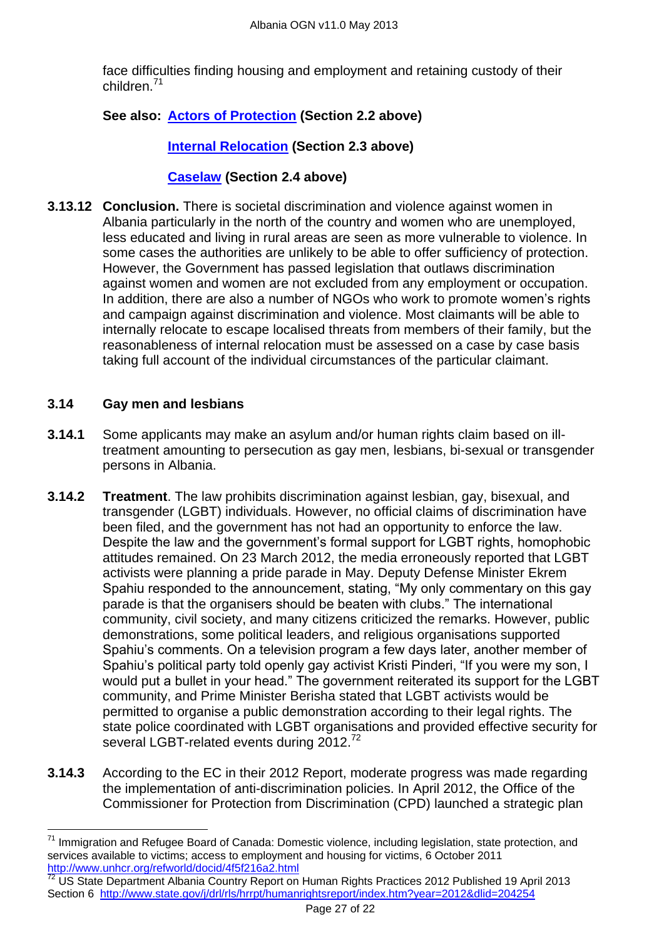face difficulties finding housing and employment and retaining custody of their children.<sup>71</sup>

# **See also: Actors of Protection (Section 2.2 above)**

# **Internal Relocation (Section 2.3 above)**

## **Caselaw (Section 2.4 above)**

**3.13.12 Conclusion.** There is societal discrimination and violence against women in Albania particularly in the north of the country and women who are unemployed, less educated and living in rural areas are seen as more vulnerable to violence. In some cases the authorities are unlikely to be able to offer sufficiency of protection. However, the Government has passed legislation that outlaws discrimination against women and women are not excluded from any employment or occupation. In addition, there are also a number of NGOs who work to promote women's rights and campaign against discrimination and violence. Most claimants will be able to internally relocate to escape localised threats from members of their family, but the reasonableness of internal relocation must be assessed on a case by case basis taking full account of the individual circumstances of the particular claimant.

### <span id="page-26-0"></span>**3.14 Gay men and lesbians**

- **3.14.1** Some applicants may make an asylum and/or human rights claim based on illtreatment amounting to persecution as gay men, lesbians, bi-sexual or transgender persons in Albania.
- **3.14.2 Treatment**. The law prohibits discrimination against lesbian, gay, bisexual, and transgender (LGBT) individuals. However, no official claims of discrimination have been filed, and the government has not had an opportunity to enforce the law. Despite the law and the government's formal support for LGBT rights, homophobic attitudes remained. On 23 March 2012, the media erroneously reported that LGBT activists were planning a pride parade in May. Deputy Defense Minister Ekrem Spahiu responded to the announcement, stating, "My only commentary on this gay parade is that the organisers should be beaten with clubs." The international community, civil society, and many citizens criticized the remarks. However, public demonstrations, some political leaders, and religious organisations supported Spahiu's comments. On a television program a few days later, another member of Spahiu's political party told openly gay activist Kristi Pinderi, "If you were my son, I would put a bullet in your head." The government reiterated its support for the LGBT community, and Prime Minister Berisha stated that LGBT activists would be permitted to organise a public demonstration according to their legal rights. The state police coordinated with LGBT organisations and provided effective security for several LGBT-related events during 2012.<sup>72</sup>
- **3.14.3** According to the EC in their 2012 Report, moderate progress was made regarding the implementation of anti-discrimination policies. In April 2012, the Office of the Commissioner for Protection from Discrimination (CPD) launched a strategic plan

 $\overline{a}$ <sup>71</sup> Immigration and Refugee Board of Canada: Domestic violence, including legislation, state protection, and services available to victims; access to employment and housing for victims, 6 October 2011 <http://www.unhcr.org/refworld/docid/4f5f216a2.html>

<sup>&</sup>lt;sup>72</sup> US State Department Albania Country Report on Human Rights Practices 2012 Published 19 April 2013 Section 6 <http://www.state.gov/j/drl/rls/hrrpt/humanrightsreport/index.htm?year=2012&dlid=204254>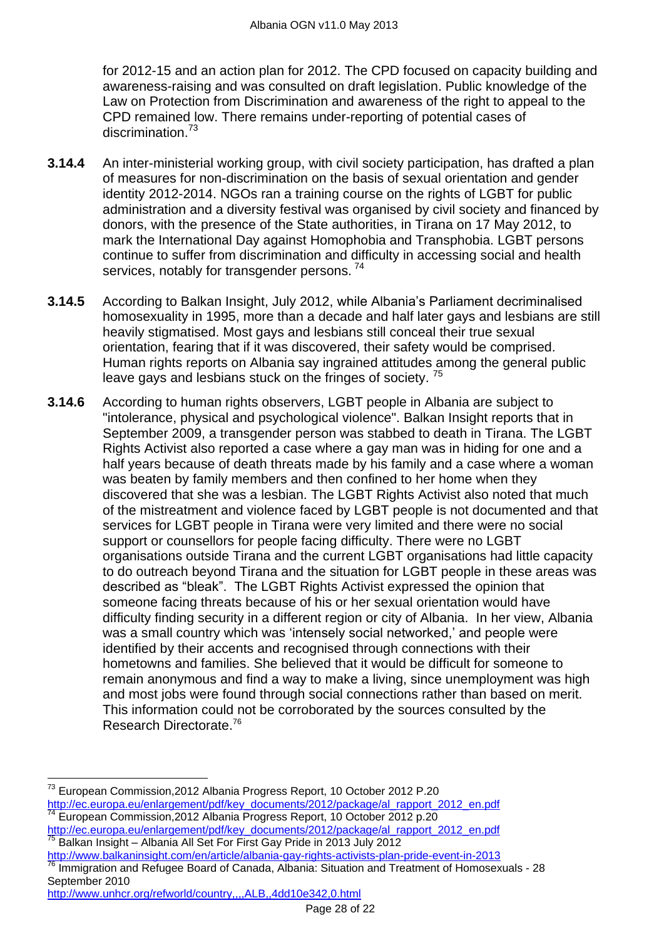for 2012-15 and an action plan for 2012. The CPD focused on capacity building and awareness-raising and was consulted on draft legislation. Public knowledge of the Law on Protection from Discrimination and awareness of the right to appeal to the CPD remained low. There remains under-reporting of potential cases of discrimination.<sup>73</sup>

- **3.14.4** An inter-ministerial working group, with civil society participation, has drafted a plan of measures for non-discrimination on the basis of sexual orientation and gender identity 2012-2014. NGOs ran a training course on the rights of LGBT for public administration and a diversity festival was organised by civil society and financed by donors, with the presence of the State authorities, in Tirana on 17 May 2012, to mark the International Day against Homophobia and Transphobia. LGBT persons continue to suffer from discrimination and difficulty in accessing social and health services, notably for transgender persons.<sup>74</sup>
- **3.14.5** According to Balkan Insight, July 2012, while Albania's Parliament decriminalised homosexuality in 1995, more than a decade and half later gays and lesbians are still heavily stigmatised. Most gays and lesbians still conceal their true sexual orientation, fearing that if it was discovered, their safety would be comprised. Human rights reports on Albania say ingrained attitudes among the general public leave gays and lesbians stuck on the fringes of society.<sup>75</sup>
- **3.14.6** According to human rights observers, LGBT people in Albania are subject to "intolerance, physical and psychological violence". Balkan Insight reports that in September 2009, a transgender person was stabbed to death in Tirana. The LGBT Rights Activist also reported a case where a gay man was in hiding for one and a half years because of death threats made by his family and a case where a woman was beaten by family members and then confined to her home when they discovered that she was a lesbian. The LGBT Rights Activist also noted that much of the mistreatment and violence faced by LGBT people is not documented and that services for LGBT people in Tirana were very limited and there were no social support or counsellors for people facing difficulty. There were no LGBT organisations outside Tirana and the current LGBT organisations had little capacity to do outreach beyond Tirana and the situation for LGBT people in these areas was described as "bleak". The LGBT Rights Activist expressed the opinion that someone facing threats because of his or her sexual orientation would have difficulty finding security in a different region or city of Albania. In her view, Albania was a small country which was 'intensely social networked,' and people were identified by their accents and recognised through connections with their hometowns and families. She believed that it would be difficult for someone to remain anonymous and find a way to make a living, since unemployment was high and most jobs were found through social connections rather than based on merit. This information could not be corroborated by the sources consulted by the Research Directorate.<sup>76</sup>

<sup>75</sup> Balkan Insight – Albania All Set For First Gay Pride in 2013 July 2012

<http://www.balkaninsight.com/en/article/albania-gay-rights-activists-plan-pride-event-in-2013> Immigration and Refugee Board of Canada, Albania: Situation and Treatment of Homosexuals - 28 September 2010

```
http://www.unhcr.org/refworld/country,,,,ALB,,4dd10e342,0.html
```
 $\overline{a}$  $^{73}$  European Commission,2012 Albania Progress Report, 10 October 2012 P.20 [http://ec.europa.eu/enlargement/pdf/key\\_documents/2012/package/al\\_rapport\\_2012\\_en.pdf](http://ec.europa.eu/enlargement/pdf/key_documents/2012/package/al_rapport_2012_en.pdf) <sup>74</sup> European Commission,2012 Albania Progress Report, 10 October 2012 p.20 [http://ec.europa.eu/enlargement/pdf/key\\_documents/2012/package/al\\_rapport\\_2012\\_en.pdf](http://ec.europa.eu/enlargement/pdf/key_documents/2012/package/al_rapport_2012_en.pdf)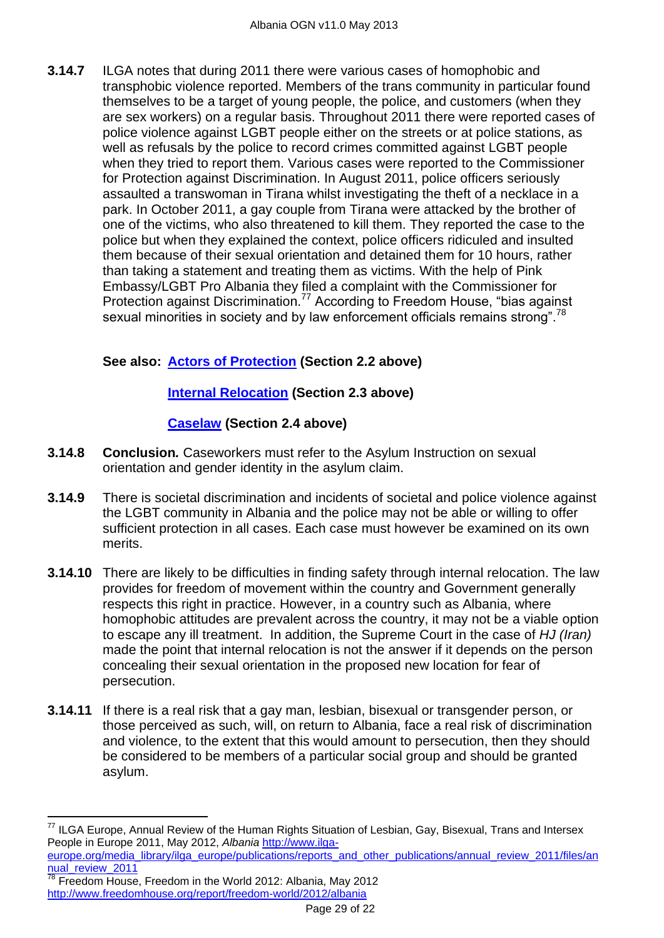**3.14.7** ILGA notes that during 2011 there were various cases of homophobic and transphobic violence reported. Members of the trans community in particular found themselves to be a target of young people, the police, and customers (when they are sex workers) on a regular basis. Throughout 2011 there were reported cases of police violence against LGBT people either on the streets or at police stations, as well as refusals by the police to record crimes committed against LGBT people when they tried to report them. Various cases were reported to the Commissioner for Protection against Discrimination. In August 2011, police officers seriously assaulted a transwoman in Tirana whilst investigating the theft of a necklace in a park. In October 2011, a gay couple from Tirana were attacked by the brother of one of the victims, who also threatened to kill them. They reported the case to the police but when they explained the context, police officers ridiculed and insulted them because of their sexual orientation and detained them for 10 hours, rather than taking a statement and treating them as victims. With the help of Pink Embassy/LGBT Pro Albania they filed a complaint with the Commissioner for Protection against Discrimination.<sup>77</sup> According to Freedom House, "bias against sexual minorities in society and by law enforcement officials remains strong".<sup>78</sup>

# **See also: Actors of Protection (Section 2.2 above)**

# **Internal Relocation (Section 2.3 above)**

# **Caselaw (Section 2.4 above)**

- **3.14.8 Conclusion***.* Caseworkers must refer to the Asylum Instruction on sexual orientation and gender identity in the asylum claim.
- **3.14.9** There is societal discrimination and incidents of societal and police violence against the LGBT community in Albania and the police may not be able or willing to offer sufficient protection in all cases. Each case must however be examined on its own merits.
- **3.14.10** There are likely to be difficulties in finding safety through internal relocation. The law provides for freedom of movement within the country and Government generally respects this right in practice. However, in a country such as Albania, where homophobic attitudes are prevalent across the country, it may not be a viable option to escape any ill treatment. In addition, the Supreme Court in the case of *HJ (Iran)*  made the point that internal relocation is not the answer if it depends on the person concealing their sexual orientation in the proposed new location for fear of persecution.
- **3.14.11** If there is a real risk that a gay man, lesbian, bisexual or transgender person, or those perceived as such, will, on return to Albania, face a real risk of discrimination and violence, to the extent that this would amount to persecution, then they should be considered to be members of a particular social group and should be granted asylum.

<sup>&</sup>lt;sup>77</sup> ILGA Europe, Annual Review of the Human Rights Situation of Lesbian, Gay, Bisexual, Trans and Intersex People in Europe 2011, May 2012, *Albania* [http://www.ilga-](http://www.ilga-europe.org/media_library/ilga_europe/publications/reports_and_other_publications/annual_review_2011/files/annual_review_2011)

[europe.org/media\\_library/ilga\\_europe/publications/reports\\_and\\_other\\_publications/annual\\_review\\_2011/files/an](http://www.ilga-europe.org/media_library/ilga_europe/publications/reports_and_other_publications/annual_review_2011/files/annual_review_2011) [nual\\_review\\_2011](http://www.ilga-europe.org/media_library/ilga_europe/publications/reports_and_other_publications/annual_review_2011/files/annual_review_2011)

Freedom House, Freedom in the World 2012: Albania, May 2012 <http://www.freedomhouse.org/report/freedom-world/2012/albania>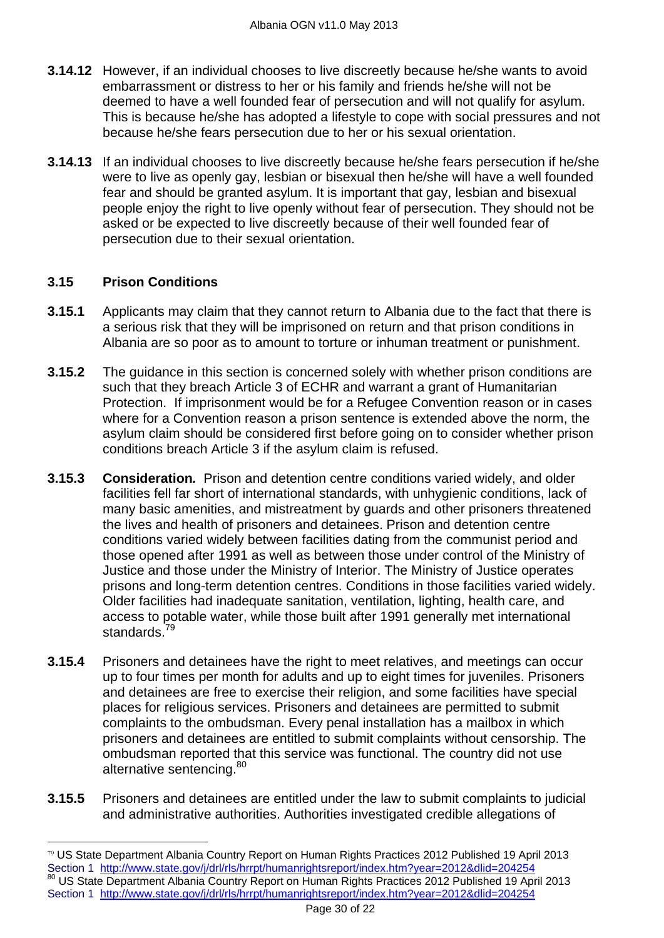- **3.14.12** However, if an individual chooses to live discreetly because he/she wants to avoid embarrassment or distress to her or his family and friends he/she will not be deemed to have a well founded fear of persecution and will not qualify for asylum. This is because he/she has adopted a lifestyle to cope with social pressures and not because he/she fears persecution due to her or his sexual orientation.
- **3.14.13** If an individual chooses to live discreetly because he/she fears persecution if he/she were to live as openly gay, lesbian or bisexual then he/she will have a well founded fear and should be granted asylum. It is important that gay, lesbian and bisexual people enjoy the right to live openly without fear of persecution. They should not be asked or be expected to live discreetly because of their well founded fear of persecution due to their sexual orientation.

### **3.15 Prison Conditions**

- **3.15.1** Applicants may claim that they cannot return to Albania due to the fact that there is a serious risk that they will be imprisoned on return and that prison conditions in Albania are so poor as to amount to torture or inhuman treatment or punishment.
- **3.15.2** The guidance in this section is concerned solely with whether prison conditions are such that they breach Article 3 of ECHR and warrant a grant of Humanitarian Protection. If imprisonment would be for a Refugee Convention reason or in cases where for a Convention reason a prison sentence is extended above the norm, the asylum claim should be considered first before going on to consider whether prison conditions breach Article 3 if the asylum claim is refused.
- **3.15.3 Consideration***.* Prison and detention centre conditions varied widely, and older facilities fell far short of international standards, with unhygienic conditions, lack of many basic amenities, and mistreatment by guards and other prisoners threatened the lives and health of prisoners and detainees. Prison and detention centre conditions varied widely between facilities dating from the communist period and those opened after 1991 as well as between those under control of the Ministry of Justice and those under the Ministry of Interior. The Ministry of Justice operates prisons and long-term detention centres. Conditions in those facilities varied widely. Older facilities had inadequate sanitation, ventilation, lighting, health care, and access to potable water, while those built after 1991 generally met international standards.<sup>79</sup>
- **3.15.4** Prisoners and detainees have the right to meet relatives, and meetings can occur up to four times per month for adults and up to eight times for juveniles. Prisoners and detainees are free to exercise their religion, and some facilities have special places for religious services. Prisoners and detainees are permitted to submit complaints to the ombudsman. Every penal installation has a mailbox in which prisoners and detainees are entitled to submit complaints without censorship. The ombudsman reported that this service was functional. The country did not use alternative sentencing.<sup>80</sup>
- **3.15.5** Prisoners and detainees are entitled under the law to submit complaints to judicial and administrative authorities. Authorities investigated credible allegations of

<sup>79</sup> US State Department Albania Country Report on Human Rights Practices 2012 Published 19 April 2013 Section 1 <http://www.state.gov/j/drl/rls/hrrpt/humanrightsreport/index.htm?year=2012&dlid=204254> 80 US State Department Albania Country Report on Human Rights Practices 2012 Published 19 April 2013 Section 1 <http://www.state.gov/j/drl/rls/hrrpt/humanrightsreport/index.htm?year=2012&dlid=204254>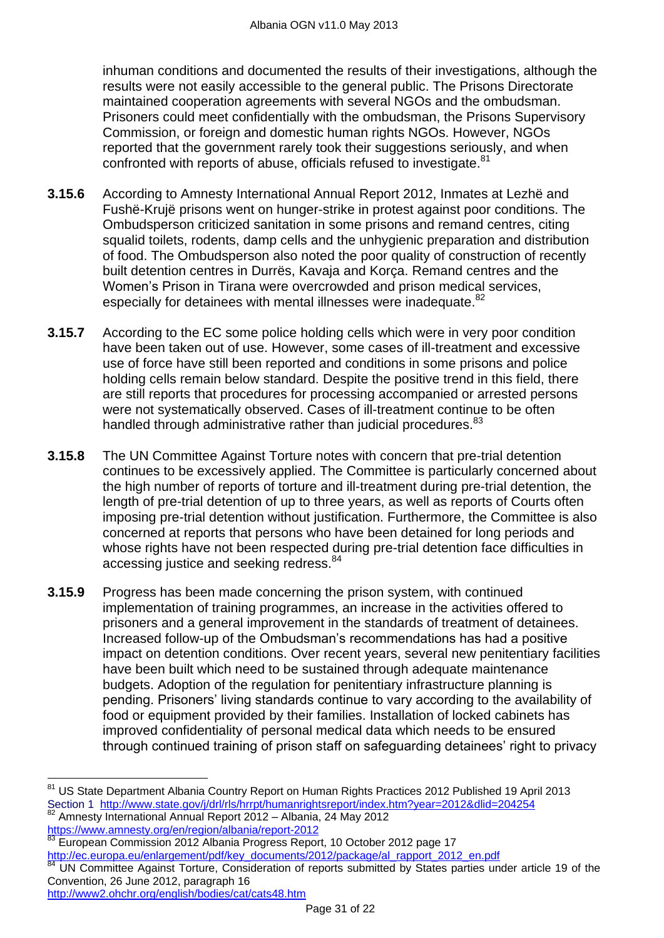inhuman conditions and documented the results of their investigations, although the results were not easily accessible to the general public. The Prisons Directorate maintained cooperation agreements with several NGOs and the ombudsman. Prisoners could meet confidentially with the ombudsman, the Prisons Supervisory Commission, or foreign and domestic human rights NGOs. However, NGOs reported that the government rarely took their suggestions seriously, and when confronted with reports of abuse, officials refused to investigate.<sup>81</sup>

- **3.15.6** According to Amnesty International Annual Report 2012, Inmates at Lezhë and Fushë-Krujë prisons went on hunger-strike in protest against poor conditions. The Ombudsperson criticized sanitation in some prisons and remand centres, citing squalid toilets, rodents, damp cells and the unhygienic preparation and distribution of food. The Ombudsperson also noted the poor quality of construction of recently built detention centres in Durrës, Kavaja and Korça. Remand centres and the Women's Prison in Tirana were overcrowded and prison medical services, especially for detainees with mental illnesses were inadequate.<sup>82</sup>
- **3.15.7** According to the EC some police holding cells which were in very poor condition have been taken out of use. However, some cases of ill-treatment and excessive use of force have still been reported and conditions in some prisons and police holding cells remain below standard. Despite the positive trend in this field, there are still reports that procedures for processing accompanied or arrested persons were not systematically observed. Cases of ill-treatment continue to be often handled through administrative rather than judicial procedures.<sup>83</sup>
- **3.15.8** The UN Committee Against Torture notes with concern that pre-trial detention continues to be excessively applied. The Committee is particularly concerned about the high number of reports of torture and ill-treatment during pre-trial detention, the length of pre-trial detention of up to three years, as well as reports of Courts often imposing pre-trial detention without justification. Furthermore, the Committee is also concerned at reports that persons who have been detained for long periods and whose rights have not been respected during pre-trial detention face difficulties in accessing justice and seeking redress.<sup>84</sup>
- **3.15.9** Progress has been made concerning the prison system, with continued implementation of training programmes, an increase in the activities offered to prisoners and a general improvement in the standards of treatment of detainees. Increased follow-up of the Ombudsman's recommendations has had a positive impact on detention conditions. Over recent years, several new penitentiary facilities have been built which need to be sustained through adequate maintenance budgets. Adoption of the regulation for penitentiary infrastructure planning is pending. Prisoners' living standards continue to vary according to the availability of food or equipment provided by their families. Installation of locked cabinets has improved confidentiality of personal medical data which needs to be ensured through continued training of prison staff on safeguarding detainees' right to privacy

83 European Commission 2012 Albania Progress Report, 10 October 2012 page 17 [http://ec.europa.eu/enlargement/pdf/key\\_documents/2012/package/al\\_rapport\\_2012\\_en.pdf](http://ec.europa.eu/enlargement/pdf/key_documents/2012/package/al_rapport_2012_en.pdf)

<sup>&</sup>lt;sup>81</sup> US State Department Albania Country Report on Human Rights Practices 2012 Published 19 April 2013 Section 1 <http://www.state.gov/j/drl/rls/hrrpt/humanrightsreport/index.htm?year=2012&dlid=204254> <sup>82</sup> Amnesty International Annual Report 2012 – Albania, 24 May 2012 <https://www.amnesty.org/en/region/albania/report-2012>

UN Committee Against Torture, Consideration of reports submitted by States parties under article 19 of the Convention, 26 June 2012, paragraph 16 <http://www2.ohchr.org/english/bodies/cat/cats48.htm>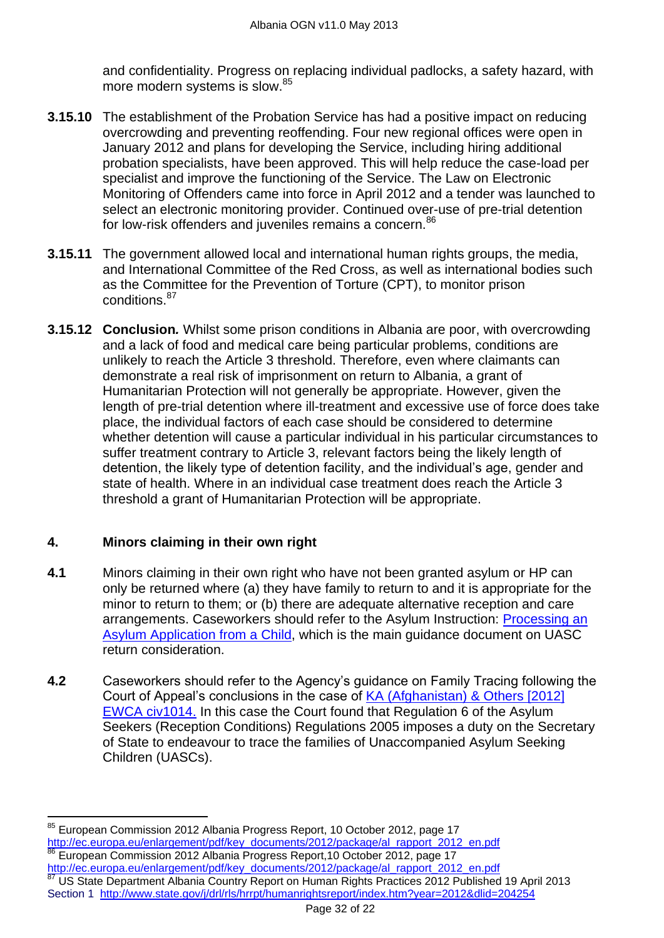and confidentiality. Progress on replacing individual padlocks, a safety hazard, with more modern systems is slow.<sup>85</sup>

- **3.15.10** The establishment of the Probation Service has had a positive impact on reducing overcrowding and preventing reoffending. Four new regional offices were open in January 2012 and plans for developing the Service, including hiring additional probation specialists, have been approved. This will help reduce the case-load per specialist and improve the functioning of the Service. The Law on Electronic Monitoring of Offenders came into force in April 2012 and a tender was launched to select an electronic monitoring provider. Continued over-use of pre-trial detention for low-risk offenders and juveniles remains a concern.<sup>86</sup>
- **3.15.11** The government allowed local and international human rights groups, the media, and International Committee of the Red Cross, as well as international bodies such as the Committee for the Prevention of Torture (CPT), to monitor prison conditions.<sup>87</sup>
- **3.15.12 Conclusion***.* Whilst some prison conditions in Albania are poor, with overcrowding and a lack of food and medical care being particular problems, conditions are unlikely to reach the Article 3 threshold. Therefore, even where claimants can demonstrate a real risk of imprisonment on return to Albania, a grant of Humanitarian Protection will not generally be appropriate. However, given the length of pre-trial detention where ill-treatment and excessive use of force does take place, the individual factors of each case should be considered to determine whether detention will cause a particular individual in his particular circumstances to suffer treatment contrary to Article 3, relevant factors being the likely length of detention, the likely type of detention facility, and the individual's age, gender and state of health. Where in an individual case treatment does reach the Article 3 threshold a grant of Humanitarian Protection will be appropriate.

# **4. Minors claiming in their own right**

- **4.1** Minors claiming in their own right who have not been granted asylum or HP can only be returned where (a) they have family to return to and it is appropriate for the minor to return to them; or (b) there are adequate alternative reception and care arrangements. Caseworkers should refer to the Asylum Instruction: [Processing an](http://www.ukba.homeoffice.gov.uk/sitecontent/documents/policyandlaw/asylumprocessguidance/specialcases/guidance/processingasylumapplication1.pdf?view=Binary.)  [Asylum Application from a Child,](http://www.ukba.homeoffice.gov.uk/sitecontent/documents/policyandlaw/asylumprocessguidance/specialcases/guidance/processingasylumapplication1.pdf?view=Binary.) which is the main guidance document on UASC return consideration.
- **4.2** Caseworkers should refer to the Agency's guidance on Family Tracing following the Court of Appeal's conclusions in the case of [KA \(Afghanistan\) & Others \[2012\]](http://www.bailii.org/ew/cases/EWCA/Civ/2012/1014.html)  [EWCA civ1014.](http://www.bailii.org/ew/cases/EWCA/Civ/2012/1014.html) In this case the Court found that Regulation 6 of the Asylum Seekers (Reception Conditions) Regulations 2005 imposes a duty on the Secretary of State to endeavour to trace the families of Unaccompanied Asylum Seeking Children (UASCs).

<sup>&</sup>lt;sup>85</sup> European Commission 2012 Albania Progress Report, 10 October 2012, page 17 [http://ec.europa.eu/enlargement/pdf/key\\_documents/2012/package/al\\_rapport\\_2012\\_en.pdf](http://ec.europa.eu/enlargement/pdf/key_documents/2012/package/al_rapport_2012_en.pdf) European Commission 2012 Albania Progress Report,10 October 2012, page 17 [http://ec.europa.eu/enlargement/pdf/key\\_documents/2012/package/al\\_rapport\\_2012\\_en.pdf](http://ec.europa.eu/enlargement/pdf/key_documents/2012/package/al_rapport_2012_en.pdf) US State Department Albania Country Report on Human Rights Practices 2012 Published 19 April 2013 Section 1 <http://www.state.gov/j/drl/rls/hrrpt/humanrightsreport/index.htm?year=2012&dlid=204254>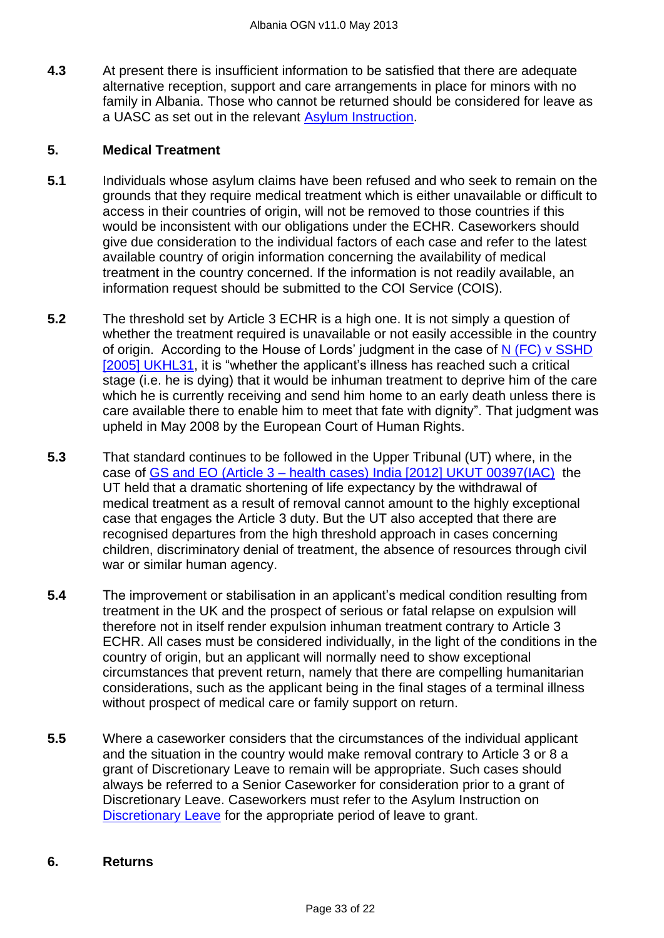**4.3** At present there is insufficient information to be satisfied that there are adequate alternative reception, support and care arrangements in place for minors with no family in Albania. Those who cannot be returned should be considered for leave as a UASC as set out in the relevant [Asylum Instruction.](http://www.ukba.homeoffice.gov.uk/sitecontent/documents/policyandlaw/asylumpolicyinstructions/apis/discretionaryleave.pdf?view=Binary)

### **5. Medical Treatment**

- **5.1** Individuals whose asylum claims have been refused and who seek to remain on the grounds that they require medical treatment which is either unavailable or difficult to access in their countries of origin, will not be removed to those countries if this would be inconsistent with our obligations under the ECHR. Caseworkers should give due consideration to the individual factors of each case and refer to the latest available country of origin information concerning the availability of medical treatment in the country concerned. If the information is not readily available, an information request should be submitted to the COI Service (COIS).
- **5.2** The threshold set by Article 3 ECHR is a high one. It is not simply a question of whether the treatment required is unavailable or not easily accessible in the country of origin. According to the House of Lords' judgment in the case of [N \(FC\) v SSHD](http://www.bailii.org/uk/cases/UKHL/2005/31.html)  [\[2005\] UKHL31,](http://www.bailii.org/uk/cases/UKHL/2005/31.html) it is "whether the applicant's illness has reached such a critical stage (i.e. he is dying) that it would be inhuman treatment to deprive him of the care which he is currently receiving and send him home to an early death unless there is care available there to enable him to meet that fate with dignity". That judgment was upheld in May 2008 by the European Court of Human Rights.
- **5.3** That standard continues to be followed in the Upper Tribunal (UT) where, in the case of GS and EO (Article 3 – [health cases\) India \[2012\] UKUT 00397\(IAC\)](http://www.bailii.org/uk/cases/UKUT/IAC/2012/00397_ukut_iac_2012_gs_eo_india_ghana.html) the UT held that a dramatic shortening of life expectancy by the withdrawal of medical treatment as a result of removal cannot amount to the highly exceptional case that engages the Article 3 duty. But the UT also accepted that there are recognised departures from the high threshold approach in cases concerning children, discriminatory denial of treatment, the absence of resources through civil war or similar human agency.
- **5.4** The improvement or stabilisation in an applicant's medical condition resulting from treatment in the UK and the prospect of serious or fatal relapse on expulsion will therefore not in itself render expulsion inhuman treatment contrary to Article 3 ECHR. All cases must be considered individually, in the light of the conditions in the country of origin, but an applicant will normally need to show exceptional circumstances that prevent return, namely that there are compelling humanitarian considerations, such as the applicant being in the final stages of a terminal illness without prospect of medical care or family support on return.
- **5.5** Where a caseworker considers that the circumstances of the individual applicant and the situation in the country would make removal contrary to Article 3 or 8 a grant of Discretionary Leave to remain will be appropriate. Such cases should always be referred to a Senior Caseworker for consideration prior to a grant of Discretionary Leave. Caseworkers must refer to the Asylum Instruction on [Discretionary Leave](http://www.ukba.homeoffice.gov.uk/sitecontent/documents/policyandlaw/asylumpolicyinstructions/apis/discretionaryleave.pdf?view=Binary) for the appropriate period of leave to grant.

#### **6. Returns**